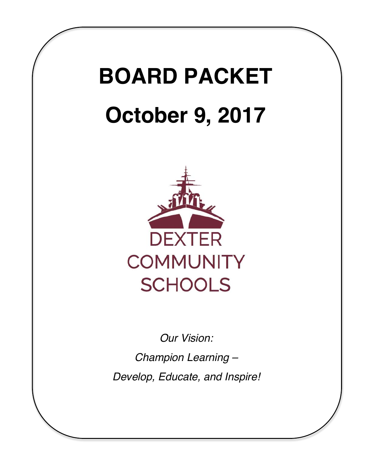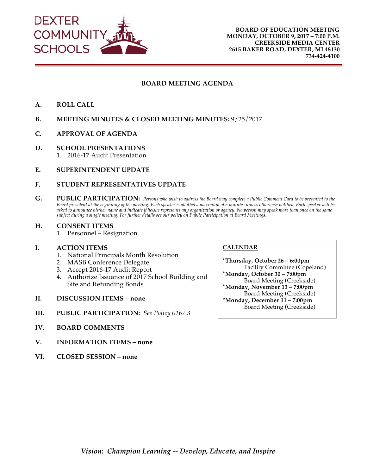

#### **BOARD MEETING AGENDA**

- **A. ROLL CALL**
- **B. MEETING MINUTES & CLOSED MEETING MINUTES:** 9/25/2017
- **C. APPROVAL OF AGENDA**
- **D. SCHOOL PRESENTATIONS** 1. 2016-17 Audit Presentation
- **E. SUPERINTENDENT UPDATE**

#### **F. STUDENT REPRESENTATIVES UPDATE**

**G. PUBLIC PARTICIPATION:** *Persons who wish to address the Board may complete a Public Comment Card to be presented to the Board president at the beginning of the meeting. Each speaker is allotted a maximum of 5 minutes unless otherwise notified. Each speaker will be asked to announce his/her name and indicate if he/she represents any organization or agency. No person may speak more than once on the same subject during a single meeting. For further details see our policy on Public Participation at Board Meetings.*

#### **H. CONSENT ITEMS**

1. Personnel – Resignation

#### **I. ACTION ITEMS**

- 1. National Principals Month Resolution
- 2. MASB Conference Delegate
- 3. Accept 2016-17 Audit Report
- 4. Authorize Issuance of 2017 School Building and Site and Refunding Bonds
- **II. DISCUSSION ITEMS none**
- **III. PUBLIC PARTICIPATION:** *See Policy 0167.3*
- **IV. BOARD COMMENTS**
- **V. INFORMATION ITEMS none**
- **VI. CLOSED SESSION none**

#### **CALENDAR**

**\*Thursday, October 26 – 6:00pm** Facility Committee (Copeland) **\*Monday, October 30 – 7:00pm** Board Meeting (Creekside) **\*Monday, November 13 – 7:00pm** Board Meeting (Creekside) **\*Monday, December 11 – 7:00pm** Board Meeting (Creekside)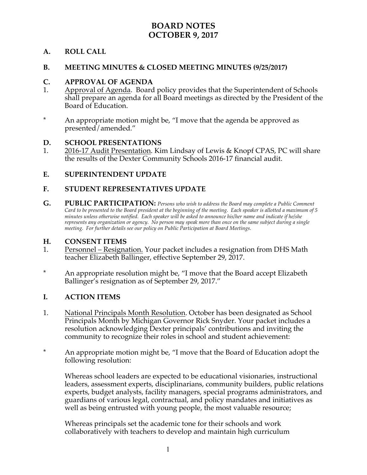# **BOARD NOTES OCTOBER 9, 2017**

## **A. ROLL CALL**

#### **B. MEETING MINUTES & CLOSED MEETING MINUTES (9/25/2017)**

#### **C. APPROVAL OF AGENDA**

- 1. Approval of Agenda. Board policy provides that the Superintendent of Schools shall prepare an agenda for all Board meetings as directed by the President of the Board of Education.
- \* An appropriate motion might be, "I move that the agenda be approved as presented/amended."

#### **D. SCHOOL PRESENTATIONS**

1. 2016-17 Audit Presentation. Kim Lindsay of Lewis & Knopf CPAS, PC will share the results of the Dexter Community Schools 2016-17 financial audit.

## **E. SUPERINTENDENT UPDATE**

## **F. STUDENT REPRESENTATIVES UPDATE**

**G. PUBLIC PARTICIPATION:** *Persons who wish to address the Board may complete a Public Comment Card to be presented to the Board president at the beginning of the meeting. Each speaker is allotted a maximum of 5 minutes unless otherwise notified. Each speaker will be asked to announce his/her name and indicate if he/she represents any organization or agency. No person may speak more than once on the same subject during a single meeting. For further details see our policy on Public Participation at Board Meetings.*

#### **H. CONSENT ITEMS**

- 1. Personnel Resignation. Your packet includes a resignation from DHS Math teacher Elizabeth Ballinger, effective September 29, 2017.
- \* An appropriate resolution might be, "I move that the Board accept Elizabeth Ballinger's resignation as of September 29, 2017."

#### **I. ACTION ITEMS**

- 1. National Principals Month Resolution. October has been designated as School Principals Month by Michigan Governor Rick Snyder. Your packet includes a resolution acknowledging Dexter principals' contributions and inviting the community to recognize their roles in school and student achievement:
- \* An appropriate motion might be, "I move that the Board of Education adopt the following resolution:

Whereas school leaders are expected to be educational visionaries, instructional leaders, assessment experts, disciplinarians, community builders, public relations experts, budget analysts, facility managers, special programs administrators, and guardians of various legal, contractual, and policy mandates and initiatives as well as being entrusted with young people, the most valuable resource;

Whereas principals set the academic tone for their schools and work collaboratively with teachers to develop and maintain high curriculum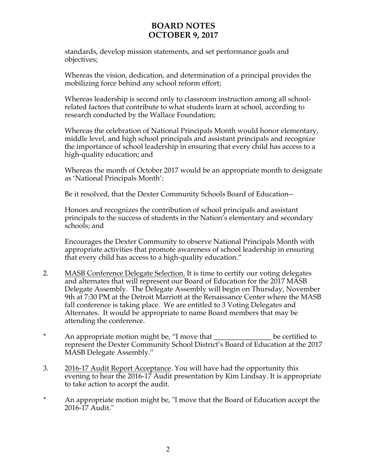# **BOARD NOTES OCTOBER 9, 2017**

standards, develop mission statements, and set performance goals and objectives;

Whereas the vision, dedication, and determination of a principal provides the mobilizing force behind any school reform effort;

Whereas leadership is second only to classroom instruction among all schoolrelated factors that contribute to what students learn at school, according to research conducted by the Wallace Foundation;

Whereas the celebration of National Principals Month would honor elementary, middle level, and high school principals and assistant principals and recognize the importance of school leadership in ensuring that every child has access to a high-quality education; and

Whereas the month of October 2017 would be an appropriate month to designate as 'National Principals Month':

Be it resolved, that the Dexter Community Schools Board of Education--

Honors and recognizes the contribution of school principals and assistant principals to the success of students in the Nation's elementary and secondary schools; and

Encourages the Dexter Community to observe National Principals Month with appropriate activities that promote awareness of school leadership in ensuring that every child has access to a high-quality education."

- 2. MASB Conference Delegate Selection. It is time to certify our voting delegates and alternates that will represent our Board of Education for the 2017 MASB Delegate Assembly. The Delegate Assembly will begin on Thursday, November 9th at 7:30 PM at the Detroit Marriott at the Renaissance Center where the MASB fall conference is taking place. We are entitled to 3 Voting Delegates and Alternates. It would be appropriate to name Board members that may be attending the conference.
- \* An appropriate motion might be, "I move that \_\_\_\_\_\_\_\_\_\_\_\_\_\_\_\_ be certified to represent the Dexter Community School District's Board of Education at the 2017 MASB Delegate Assembly."
- 3. 2016-17 Audit Report Acceptance. You will have had the opportunity this evening to hear the 2016-17 Audit presentation by Kim Lindsay. It is appropriate to take action to accept the audit.
- \* An appropriate motion might be, "I move that the Board of Education accept the 2016-17 Audit."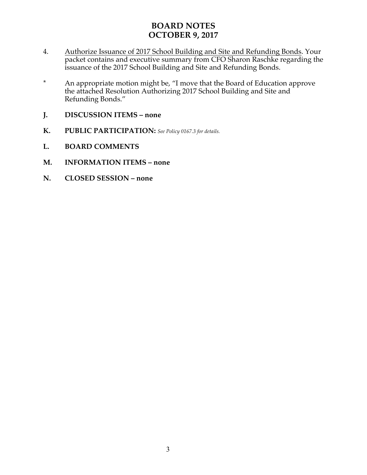# **BOARD NOTES OCTOBER 9, 2017**

- 4. Authorize Issuance of 2017 School Building and Site and Refunding Bonds. Your packet contains and executive summary from CFO Sharon Raschke regarding the issuance of the 2017 School Building and Site and Refunding Bonds.
- \* An appropriate motion might be, "I move that the Board of Education approve the attached Resolution Authorizing 2017 School Building and Site and Refunding Bonds."
- **J. DISCUSSION ITEMS – none**
- **K. PUBLIC PARTICIPATION:** *See Policy 0167.3 for details.*
- **L. BOARD COMMENTS**
- **M. INFORMATION ITEMS – none**
- **N. CLOSED SESSION – none**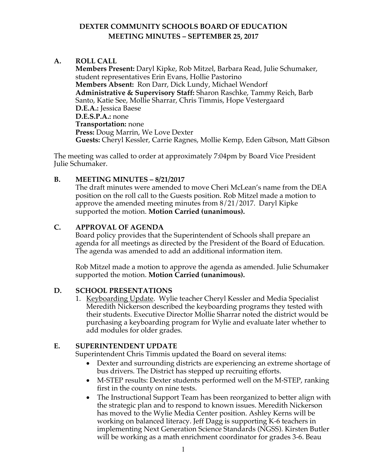## **A. ROLL CALL**

**Members Present:** Daryl Kipke, Rob Mitzel, Barbara Read, Julie Schumaker, student representatives Erin Evans, Hollie Pastorino **Members Absent:** Ron Darr, Dick Lundy, Michael Wendorf **Administrative & Supervisory Staff:** Sharon Raschke, Tammy Reich, Barb Santo, Katie See, Mollie Sharrar, Chris Timmis, Hope Vestergaard **D.E.A.:** Jessica Baese **D.E.S.P.A.:** none **Transportation:** none **Press:** Doug Marrin, We Love Dexter **Guests:** Cheryl Kessler, Carrie Ragnes, Mollie Kemp, Eden Gibson, Matt Gibson

The meeting was called to order at approximately 7:04pm by Board Vice President Julie Schumaker.

## **B. MEETING MINUTES – 8/21/2017**

The draft minutes were amended to move Cheri McLean's name from the DEA position on the roll call to the Guests position. Rob Mitzel made a motion to approve the amended meeting minutes from 8/21/2017. Daryl Kipke supported the motion. **Motion Carried (unanimous).**

## **C. APPROVAL OF AGENDA**

Board policy provides that the Superintendent of Schools shall prepare an agenda for all meetings as directed by the President of the Board of Education. The agenda was amended to add an additional information item.

Rob Mitzel made a motion to approve the agenda as amended. Julie Schumaker supported the motion. **Motion Carried (unanimous).**

## **D. SCHOOL PRESENTATIONS**

1. Keyboarding Update. Wylie teacher Cheryl Kessler and Media Specialist Meredith Nickerson described the keyboarding programs they tested with their students. Executive Director Mollie Sharrar noted the district would be purchasing a keyboarding program for Wylie and evaluate later whether to add modules for older grades.

## **E. SUPERINTENDENT UPDATE**

Superintendent Chris Timmis updated the Board on several items:

- Dexter and surrounding districts are experiencing an extreme shortage of bus drivers. The District has stepped up recruiting efforts.
- M-STEP results: Dexter students performed well on the M-STEP, ranking first in the county on nine tests.
- The Instructional Support Team has been reorganized to better align with the strategic plan and to respond to known issues. Meredith Nickerson has moved to the Wylie Media Center position. Ashley Kerns will be working on balanced literacy. Jeff Dagg is supporting K-6 teachers in implementing Next Generation Science Standards (NGSS). Kirsten Butler will be working as a math enrichment coordinator for grades 3-6. Beau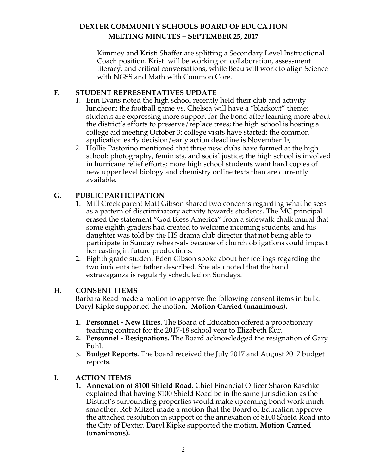Kimmey and Kristi Shaffer are splitting a Secondary Level Instructional Coach position. Kristi will be working on collaboration, assessment literacy, and critical conversations, while Beau will work to align Science with NGSS and Math with Common Core.

## **F. STUDENT REPRESENTATIVES UPDATE**

- 1. Erin Evans noted the high school recently held their club and activity luncheon; the football game vs. Chelsea will have a "blackout" theme; students are expressing more support for the bond after learning more about the district's efforts to preserve/replace trees; the high school is hosting a college aid meeting October 3; college visits have started; the common application early decision/early action deadline is November 1 $\scriptstyle\rm{!}$  .
- 2. Hollie Pastorino mentioned that three new clubs have formed at the high school: photography, feminists, and social justice; the high school is involved in hurricane relief efforts; more high school students want hard copies of new upper level biology and chemistry online texts than are currently available.

## **G. PUBLIC PARTICIPATION**

- 1. Mill Creek parent Matt Gibson shared two concerns regarding what he sees as a pattern of discriminatory activity towards students. The MC principal erased the statement "God Bless America" from a sidewalk chalk mural that some eighth graders had created to welcome incoming students, and his daughter was told by the HS drama club director that not being able to participate in Sunday rehearsals because of church obligations could impact her casting in future productions.
- 2. Eighth grade student Eden Gibson spoke about her feelings regarding the two incidents her father described. She also noted that the band extravaganza is regularly scheduled on Sundays.

## **H. CONSENT ITEMS**

Barbara Read made a motion to approve the following consent items in bulk. Daryl Kipke supported the motion. **Motion Carried (unanimous).**

- **1. Personnel - New Hires.** The Board of Education offered a probationary teaching contract for the 2017-18 school year to Elizabeth Kur.
- **2. Personnel - Resignations.** The Board acknowledged the resignation of Gary Puhl.
- **3. Budget Reports.** The board received the July 2017 and August 2017 budget reports.

## **I. ACTION ITEMS**

**1. Annexation of 8100 Shield Road**. Chief Financial Officer Sharon Raschke explained that having 8100 Shield Road be in the same jurisdiction as the District's surrounding properties would make upcoming bond work much smoother. Rob Mitzel made a motion that the Board of Education approve the attached resolution in support of the annexation of 8100 Shield Road into the City of Dexter. Daryl Kipke supported the motion. **Motion Carried (unanimous).**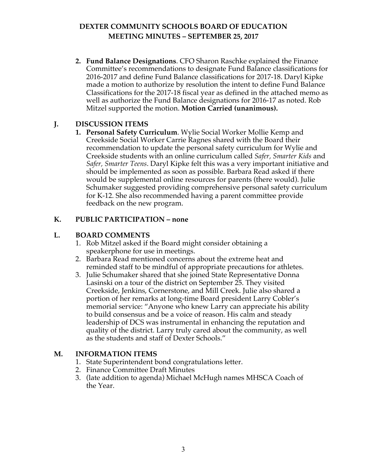**2. Fund Balance Designations**. CFO Sharon Raschke explained the Finance Committee's recommendations to designate Fund Balance classifications for 2016-2017 and define Fund Balance classifications for 2017-18. Daryl Kipke made a motion to authorize by resolution the intent to define Fund Balance Classifications for the 2017-18 fiscal year as defined in the attached memo as well as authorize the Fund Balance designations for 2016-17 as noted. Rob Mitzel supported the motion. **Motion Carried (unanimous).**

## **J. DISCUSSION ITEMS**

**1. Personal Safety Curriculum**. Wylie Social Worker Mollie Kemp and Creekside Social Worker Carrie Ragnes shared with the Board their recommendation to update the personal safety curriculum for Wylie and Creekside students with an online curriculum called *Safer, Smarter Kids* and *Safer, Smarter Teens*. Daryl Kipke felt this was a very important initiative and should be implemented as soon as possible. Barbara Read asked if there would be supplemental online resources for parents (there would). Julie Schumaker suggested providing comprehensive personal safety curriculum for K-12. She also recommended having a parent committee provide feedback on the new program.

## **K. PUBLIC PARTICIPATION – none**

## **L. BOARD COMMENTS**

- 1. Rob Mitzel asked if the Board might consider obtaining a speakerphone for use in meetings.
- 2. Barbara Read mentioned concerns about the extreme heat and reminded staff to be mindful of appropriate precautions for athletes.
- 3. Julie Schumaker shared that she joined State Representative Donna Lasinski on a tour of the district on September 25. They visited Creekside, Jenkins, Cornerstone, and Mill Creek. Julie also shared a portion of her remarks at long-time Board president Larry Cobler's memorial service: "Anyone who knew Larry can appreciate his ability to build consensus and be a voice of reason. His calm and steady leadership of DCS was instrumental in enhancing the reputation and quality of the district. Larry truly cared about the community, as well as the students and staff of Dexter Schools."

## **M. INFORMATION ITEMS**

- 1. State Superintendent bond congratulations letter.
- 2. Finance Committee Draft Minutes
- 3. (late addition to agenda) Michael McHugh names MHSCA Coach of the Year.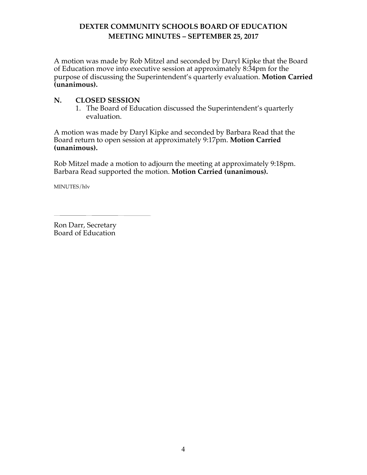A motion was made by Rob Mitzel and seconded by Daryl Kipke that the Board of Education move into executive session at approximately 8:34pm for the purpose of discussing the Superintendent's quarterly evaluation. **Motion Carried (unanimous).**

#### **N. CLOSED SESSION**

1. The Board of Education discussed the Superintendent's quarterly evaluation.

A motion was made by Daryl Kipke and seconded by Barbara Read that the Board return to open session at approximately 9:17pm. **Motion Carried (unanimous).**

Rob Mitzel made a motion to adjourn the meeting at approximately 9:18pm. Barbara Read supported the motion. **Motion Carried (unanimous).**

MINUTES/hlv

Ron Darr, Secretary Board of Education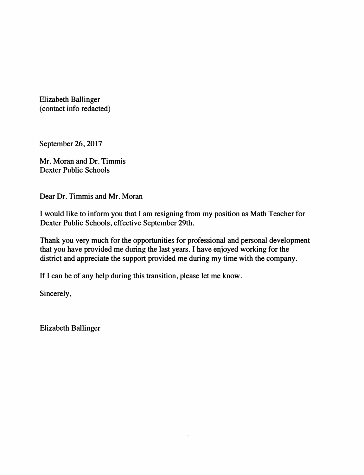Elizabeth Ballinger (contact info redacted)

September 26, 2017

Mr. Moran and Dr. Timmis Dexter Public Schools

Dear Dr. Timmis and Mr. Moran

I would like to inform you that I am resigning from my position as Math Teacher for Dexter Public Schools, effective September 29th.

Thank you very much for the opportunities for professional and personal development that you have provided me during the last years. I have enjoyed working for the district and appreciate the support provided me during my time with the company.

If I can be of any help during this transition, please let me know.

Sincerely,

Elizabeth Ballinger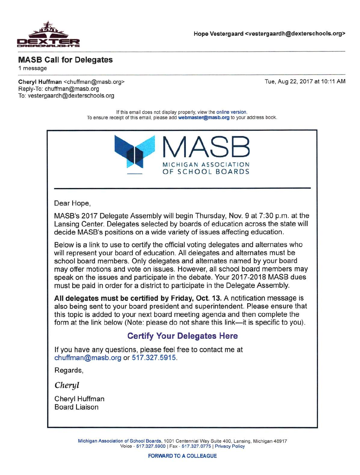

## **MASB Call for Delegates**

1 message

Cheryl Huffman <chuffman@masb.org> Reply-To: chuffman@masb.org To: vestergaardh@dexterschools.org

Tue, Aug 22, 2017 at 10:11 AM

If this email does not display properly, view the online version. To ensure receipt of this email, please add webmaster@masb.org to your address book.



#### Dear Hope,

MASB's 2017 Delegate Assembly will begin Thursday, Nov. 9 at 7:30 p.m. at the Lansing Center. Delegates selected by boards of education across the state will decide MASB's positions on a wide variety of issues affecting education.

Below is a link to use to certify the official voting delegates and alternates who will represent your board of education. All delegates and alternates must be school board members. Only delegates and alternates named by your board may offer motions and vote on issues. However, all school board members may speak on the issues and participate in the debate. Your 2017-2018 MASB dues must be paid in order for a district to participate in the Delegate Assembly.

All delegates must be certified by Friday, Oct. 13. A notification message is also being sent to your board president and superintendent. Please ensure that this topic is added to your next board meeting agenda and then complete the form at the link below (Note: please do not share this link—it is specific to you).

# **Certify Your Delegates Here**

If you have any questions, please feel free to contact me at chuffman@masb.org or 517,327.5915.

Regards.

Cheryl

Cheryl Huffman **Board Liaison**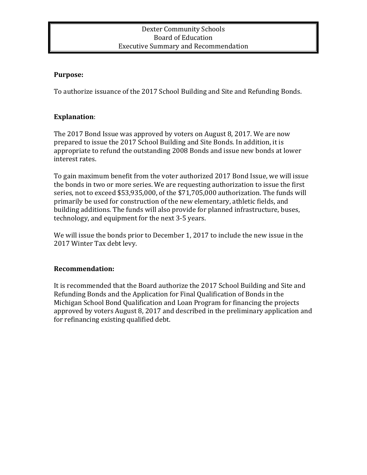#### Dexter Community Schools Board of Education **Executive Summary and Recommendation**

#### **Purpose:**

To authorize issuance of the 2017 School Building and Site and Refunding Bonds.

## **Explanation**:

The 2017 Bond Issue was approved by voters on August 8, 2017. We are now prepared to issue the 2017 School Building and Site Bonds. In addition, it is appropriate to refund the outstanding 2008 Bonds and issue new bonds at lower interest rates.

To gain maximum benefit from the voter authorized 2017 Bond Issue, we will issue the bonds in two or more series. We are requesting authorization to issue the first series, not to exceed \$53,935,000, of the \$71,705,000 authorization. The funds will primarily be used for construction of the new elementary, athletic fields, and building additions. The funds will also provide for planned infrastructure, buses, technology, and equipment for the next 3-5 years.

We will issue the bonds prior to December 1, 2017 to include the new issue in the 2017 Winter Tax debt levy.

## **Recommendation:**

It is recommended that the Board authorize the 2017 School Building and Site and Refunding Bonds and the Application for Final Qualification of Bonds in the Michigan School Bond Qualification and Loan Program for financing the projects approved by voters August 8, 2017 and described in the preliminary application and for refinancing existing qualified debt.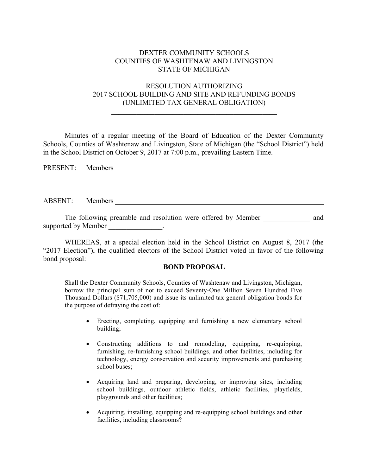#### DEXTER COMMUNITY SCHOOLS COUNTIES OF WASHTENAW AND LIVINGSTON STATE OF MICHIGAN

#### RESOLUTION AUTHORIZING 2017 SCHOOL BUILDING AND SITE AND REFUNDING BONDS (UNLIMITED TAX GENERAL OBLIGATION)

 $\mathcal{L}_\text{max}$  and the contract of the contract of the contract of the contract of the contract of the contract of the contract of the contract of the contract of the contract of the contract of the contract of the contrac

Minutes of a regular meeting of the Board of Education of the Dexter Community Schools, Counties of Washtenaw and Livingston, State of Michigan (the "School District") held in the School District on October 9, 2017 at 7:00 p.m., prevailing Eastern Time.

| PRESENT: Members |  | <u>and the state of the state of the state of the state of the state of the state of the state of the state of th</u> |  |  |  |
|------------------|--|-----------------------------------------------------------------------------------------------------------------------|--|--|--|
|                  |  |                                                                                                                       |  |  |  |
|                  |  |                                                                                                                       |  |  |  |
| ABSENT: Members  |  |                                                                                                                       |  |  |  |
|                  |  |                                                                                                                       |  |  |  |

The following preamble and resolution were offered by Member \_\_\_\_\_\_\_\_\_\_\_\_\_ and supported by Member \_\_\_\_\_\_\_\_\_\_\_\_.

WHEREAS, at a special election held in the School District on August 8, 2017 (the "2017 Election"), the qualified electors of the School District voted in favor of the following bond proposal:

#### **BOND PROPOSAL**

Shall the Dexter Community Schools, Counties of Washtenaw and Livingston, Michigan, borrow the principal sum of not to exceed Seventy-One Million Seven Hundred Five Thousand Dollars (\$71,705,000) and issue its unlimited tax general obligation bonds for the purpose of defraying the cost of:

- Erecting, completing, equipping and furnishing a new elementary school building;
- Constructing additions to and remodeling, equipping, re-equipping, furnishing, re-furnishing school buildings, and other facilities, including for technology, energy conservation and security improvements and purchasing school buses;
- Acquiring land and preparing, developing, or improving sites, including school buildings, outdoor athletic fields, athletic facilities, playfields, playgrounds and other facilities;
- Acquiring, installing, equipping and re-equipping school buildings and other facilities, including classrooms?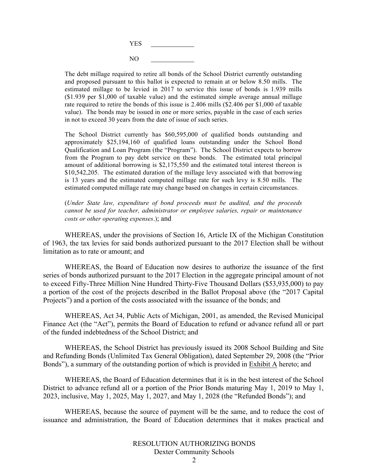

The debt millage required to retire all bonds of the School District currently outstanding and proposed pursuant to this ballot is expected to remain at or below 8.50 mills. The estimated millage to be levied in 2017 to service this issue of bonds is 1.939 mills (\$1.939 per \$1,000 of taxable value) and the estimated simple average annual millage rate required to retire the bonds of this issue is 2.406 mills (\$2.406 per \$1,000 of taxable value). The bonds may be issued in one or more series, payable in the case of each series in not to exceed 30 years from the date of issue of such series.

The School District currently has \$60,595,000 of qualified bonds outstanding and approximately \$25,194,160 of qualified loans outstanding under the School Bond Qualification and Loan Program (the "Program"). The School District expects to borrow from the Program to pay debt service on these bonds. The estimated total principal amount of additional borrowing is \$2,175,550 and the estimated total interest thereon is \$10,542,205. The estimated duration of the millage levy associated with that borrowing is 13 years and the estimated computed millage rate for such levy is 8.50 mills. The estimated computed millage rate may change based on changes in certain circumstances.

(*Under State law, expenditure of bond proceeds must be audited, and the proceeds cannot be used for teacher, administrator or employee salaries, repair or maintenance costs or other operating expenses*.); and

WHEREAS, under the provisions of Section 16, Article IX of the Michigan Constitution of 1963, the tax levies for said bonds authorized pursuant to the 2017 Election shall be without limitation as to rate or amount; and

WHEREAS, the Board of Education now desires to authorize the issuance of the first series of bonds authorized pursuant to the 2017 Election in the aggregate principal amount of not to exceed Fifty-Three Million Nine Hundred Thirty-Five Thousand Dollars (\$53,935,000) to pay a portion of the cost of the projects described in the Ballot Proposal above (the "2017 Capital Projects") and a portion of the costs associated with the issuance of the bonds; and

WHEREAS, Act 34, Public Acts of Michigan, 2001, as amended, the Revised Municipal Finance Act (the "Act"), permits the Board of Education to refund or advance refund all or part of the funded indebtedness of the School District; and

WHEREAS, the School District has previously issued its 2008 School Building and Site and Refunding Bonds (Unlimited Tax General Obligation), dated September 29, 2008 (the "Prior Bonds"), a summary of the outstanding portion of which is provided in Exhibit A hereto; and

WHEREAS, the Board of Education determines that it is in the best interest of the School District to advance refund all or a portion of the Prior Bonds maturing May 1, 2019 to May 1, 2023, inclusive, May 1, 2025, May 1, 2027, and May 1, 2028 (the "Refunded Bonds"); and

WHEREAS, because the source of payment will be the same, and to reduce the cost of issuance and administration, the Board of Education determines that it makes practical and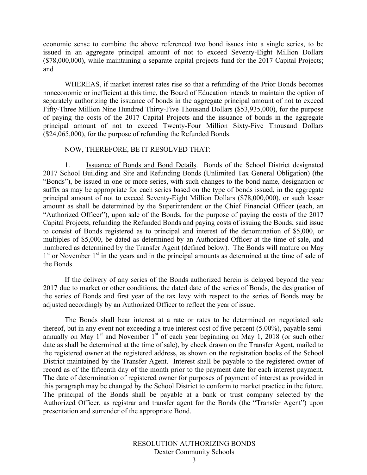economic sense to combine the above referenced two bond issues into a single series, to be issued in an aggregate principal amount of not to exceed Seventy-Eight Million Dollars (\$78,000,000), while maintaining a separate capital projects fund for the 2017 Capital Projects; and

WHEREAS, if market interest rates rise so that a refunding of the Prior Bonds becomes noneconomic or inefficient at this time, the Board of Education intends to maintain the option of separately authorizing the issuance of bonds in the aggregate principal amount of not to exceed Fifty-Three Million Nine Hundred Thirty-Five Thousand Dollars (\$53,935,000), for the purpose of paying the costs of the 2017 Capital Projects and the issuance of bonds in the aggregate principal amount of not to exceed Twenty-Four Million Sixty-Five Thousand Dollars (\$24,065,000), for the purpose of refunding the Refunded Bonds.

#### NOW, THEREFORE, BE IT RESOLVED THAT:

1. Issuance of Bonds and Bond Details. Bonds of the School District designated 2017 School Building and Site and Refunding Bonds (Unlimited Tax General Obligation) (the "Bonds"), be issued in one or more series, with such changes to the bond name, designation or suffix as may be appropriate for each series based on the type of bonds issued, in the aggregate principal amount of not to exceed Seventy-Eight Million Dollars (\$78,000,000), or such lesser amount as shall be determined by the Superintendent or the Chief Financial Officer (each, an "Authorized Officer"), upon sale of the Bonds, for the purpose of paying the costs of the 2017 Capital Projects, refunding the Refunded Bonds and paying costs of issuing the Bonds; said issue to consist of Bonds registered as to principal and interest of the denomination of \$5,000, or multiples of \$5,000, be dated as determined by an Authorized Officer at the time of sale, and numbered as determined by the Transfer Agent (defined below). The Bonds will mature on May  $1<sup>st</sup>$  or November  $1<sup>st</sup>$  in the years and in the principal amounts as determined at the time of sale of the Bonds.

If the delivery of any series of the Bonds authorized herein is delayed beyond the year 2017 due to market or other conditions, the dated date of the series of Bonds, the designation of the series of Bonds and first year of the tax levy with respect to the series of Bonds may be adjusted accordingly by an Authorized Officer to reflect the year of issue.

The Bonds shall bear interest at a rate or rates to be determined on negotiated sale thereof, but in any event not exceeding a true interest cost of five percent (5.00%), payable semiannually on May  $1<sup>st</sup>$  and November  $1<sup>st</sup>$  of each year beginning on May 1, 2018 (or such other date as shall be determined at the time of sale), by check drawn on the Transfer Agent, mailed to the registered owner at the registered address, as shown on the registration books of the School District maintained by the Transfer Agent. Interest shall be payable to the registered owner of record as of the fifteenth day of the month prior to the payment date for each interest payment. The date of determination of registered owner for purposes of payment of interest as provided in this paragraph may be changed by the School District to conform to market practice in the future. The principal of the Bonds shall be payable at a bank or trust company selected by the Authorized Officer, as registrar and transfer agent for the Bonds (the "Transfer Agent") upon presentation and surrender of the appropriate Bond.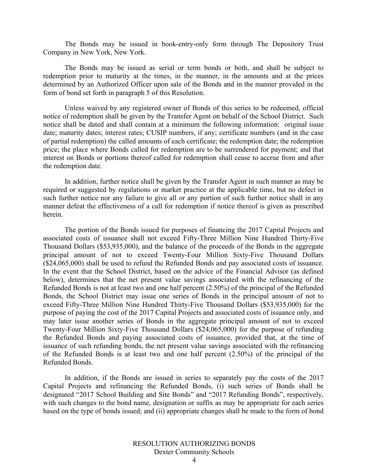The Bonds may be issued in book-entry-only form through The Depository Trust Company in New York, New York.

The Bonds may be issued as serial or term bonds or both, and shall be subject to redemption prior to maturity at the times, in the manner, in the amounts and at the prices determined by an Authorized Officer upon sale of the Bonds and in the manner provided in the form of bond set forth in paragraph 5 of this Resolution.

Unless waived by any registered owner of Bonds of this series to be redeemed, official notice of redemption shall be given by the Transfer Agent on behalf of the School District. Such notice shall be dated and shall contain at a minimum the following information: original issue date; maturity dates; interest rates; CUSIP numbers, if any; certificate numbers (and in the case of partial redemption) the called amounts of each certificate; the redemption date; the redemption price; the place where Bonds called for redemption are to be surrendered for payment; and that interest on Bonds or portions thereof called for redemption shall cease to accrue from and after the redemption date.

In addition, further notice shall be given by the Transfer Agent in such manner as may be required or suggested by regulations or market practice at the applicable time, but no defect in such further notice nor any failure to give all or any portion of such further notice shall in any manner defeat the effectiveness of a call for redemption if notice thereof is given as prescribed herein.

The portion of the Bonds issued for purposes of financing the 2017 Capital Projects and associated costs of issuance shall not exceed Fifty-Three Million Nine Hundred Thirty-Five Thousand Dollars (\$53,935,000), and the balance of the proceeds of the Bonds in the aggregate principal amount of not to exceed Twenty-Four Million Sixty-Five Thousand Dollars (\$24,065,000) shall be used to refund the Refunded Bonds and pay associated costs of issuance. In the event that the School District, based on the advice of the Financial Advisor (as defined below), determines that the net present value savings associated with the refinancing of the Refunded Bonds is not at least two and one half percent (2.50%) of the principal of the Refunded Bonds, the School District may issue one series of Bonds in the principal amount of not to exceed Fifty-Three Million Nine Hundred Thirty-Five Thousand Dollars (\$53,935,000) for the purpose of paying the cost of the 2017 Capital Projects and associated costs of issuance only, and may later issue another series of Bonds in the aggregate principal amount of not to exceed Twenty-Four Million Sixty-Five Thousand Dollars (\$24,065,000) for the purpose of refunding the Refunded Bonds and paying associated costs of issuance, provided that, at the time of issuance of such refunding bonds, the net present value savings associated with the refinancing of the Refunded Bonds is at least two and one half percent (2.50%) of the principal of the Refunded Bonds.

In addition, if the Bonds are issued in series to separately pay the costs of the 2017 Capital Projects and refinancing the Refunded Bonds, (i) such series of Bonds shall be designated "2017 School Building and Site Bonds" and "2017 Refunding Bonds", respectively, with such changes to the bond name, designation or suffix as may be appropriate for each series based on the type of bonds issued; and (ii) appropriate changes shall be made to the form of bond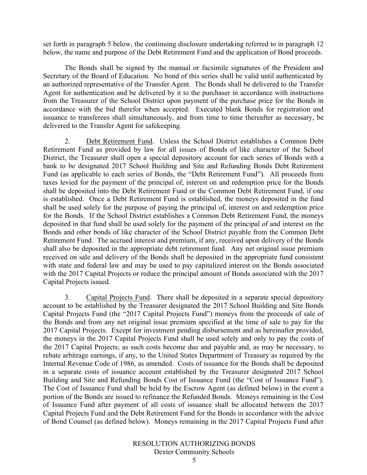set forth in paragraph 5 below, the continuing disclosure undertaking referred to in paragraph 12 below, the name and purpose of the Debt Retirement Fund and the application of Bond proceeds.

The Bonds shall be signed by the manual or facsimile signatures of the President and Secretary of the Board of Education. No bond of this series shall be valid until authenticated by an authorized representative of the Transfer Agent. The Bonds shall be delivered to the Transfer Agent for authentication and be delivered by it to the purchaser in accordance with instructions from the Treasurer of the School District upon payment of the purchase price for the Bonds in accordance with the bid therefor when accepted. Executed blank Bonds for registration and issuance to transferees shall simultaneously, and from time to time thereafter as necessary, be delivered to the Transfer Agent for safekeeping.

2. Debt Retirement Fund. Unless the School District establishes a Common Debt Retirement Fund as provided by law for all issues of Bonds of like character of the School District, the Treasurer shall open a special depository account for each series of Bonds with a bank to be designated 2017 School Building and Site and Refunding Bonds Debt Retirement Fund (as applicable to each series of Bonds, the "Debt Retirement Fund"). All proceeds from taxes levied for the payment of the principal of, interest on and redemption price for the Bonds shall be deposited into the Debt Retirement Fund or the Common Debt Retirement Fund, if one is established. Once a Debt Retirement Fund is established, the moneys deposited in the fund shall be used solely for the purpose of paying the principal of, interest on and redemption price for the Bonds. If the School District establishes a Common Debt Retirement Fund, the moneys deposited in that fund shall be used solely for the payment of the principal of and interest on the Bonds and other bonds of like character of the School District payable from the Common Debt Retirement Fund. The accrued interest and premium, if any, received upon delivery of the Bonds shall also be deposited in the appropriate debt retirement fund. Any net original issue premium received on sale and delivery of the Bonds shall be deposited in the appropriate fund consistent with state and federal law and may be used to pay capitalized interest on the Bonds associated with the 2017 Capital Projects or reduce the principal amount of Bonds associated with the 2017 Capital Projects issued.

3. Capital Projects Fund. There shall be deposited in a separate special depository account to be established by the Treasurer designated the 2017 School Building and Site Bonds Capital Projects Fund (the "2017 Capital Projects Fund") moneys from the proceeds of sale of the Bonds and from any net original issue premium specified at the time of sale to pay for the 2017 Capital Projects. Except for investment pending disbursement and as hereinafter provided, the moneys in the 2017 Capital Projects Fund shall be used solely and only to pay the costs of the 2017 Capital Projects; as such costs become due and payable and, as may be necessary, to rebate arbitrage earnings, if any, to the United States Department of Treasury as required by the Internal Revenue Code of 1986, as amended. Costs of issuance for the Bonds shall be deposited in a separate costs of issuance account established by the Treasurer designated 2017 School Building and Site and Refunding Bonds Cost of Issuance Fund (the "Cost of Issuance Fund"). The Cost of Issuance Fund shall be held by the Escrow Agent (as defined below) in the event a portion of the Bonds are issued to refinance the Refunded Bonds. Moneys remaining in the Cost of Issuance Fund after payment of all costs of issuance shall be allocated between the 2017 Capital Projects Fund and the Debt Retirement Fund for the Bonds in accordance with the advice of Bond Counsel (as defined below). Moneys remaining in the 2017 Capital Projects Fund after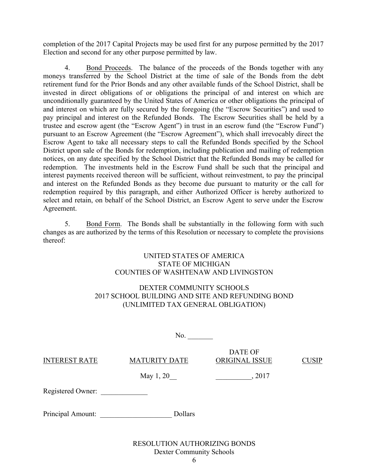completion of the 2017 Capital Projects may be used first for any purpose permitted by the 2017 Election and second for any other purpose permitted by law.

4. Bond Proceeds. The balance of the proceeds of the Bonds together with any moneys transferred by the School District at the time of sale of the Bonds from the debt retirement fund for the Prior Bonds and any other available funds of the School District, shall be invested in direct obligations of or obligations the principal of and interest on which are unconditionally guaranteed by the United States of America or other obligations the principal of and interest on which are fully secured by the foregoing (the "Escrow Securities") and used to pay principal and interest on the Refunded Bonds. The Escrow Securities shall be held by a trustee and escrow agent (the "Escrow Agent") in trust in an escrow fund (the "Escrow Fund") pursuant to an Escrow Agreement (the "Escrow Agreement"), which shall irrevocably direct the Escrow Agent to take all necessary steps to call the Refunded Bonds specified by the School District upon sale of the Bonds for redemption, including publication and mailing of redemption notices, on any date specified by the School District that the Refunded Bonds may be called for redemption. The investments held in the Escrow Fund shall be such that the principal and interest payments received thereon will be sufficient, without reinvestment, to pay the principal and interest on the Refunded Bonds as they become due pursuant to maturity or the call for redemption required by this paragraph, and either Authorized Officer is hereby authorized to select and retain, on behalf of the School District, an Escrow Agent to serve under the Escrow Agreement.

5. Bond Form. The Bonds shall be substantially in the following form with such changes as are authorized by the terms of this Resolution or necessary to complete the provisions thereof:

#### UNITED STATES OF AMERICA STATE OF MICHIGAN COUNTIES OF WASHTENAW AND LIVINGSTON

## DEXTER COMMUNITY SCHOOLS 2017 SCHOOL BUILDING AND SITE AND REFUNDING BOND (UNLIMITED TAX GENERAL OBLIGATION)

|                      | No.                  |                           |              |
|----------------------|----------------------|---------------------------|--------------|
| <b>INTEREST RATE</b> | <b>MATURITY DATE</b> | DATE OF<br>ORIGINAL ISSUE | <b>CUSIP</b> |
|                      | May 1, 20            | , 2017                    |              |
| Registered Owner:    |                      |                           |              |
| Principal Amount:    | Dollars              |                           |              |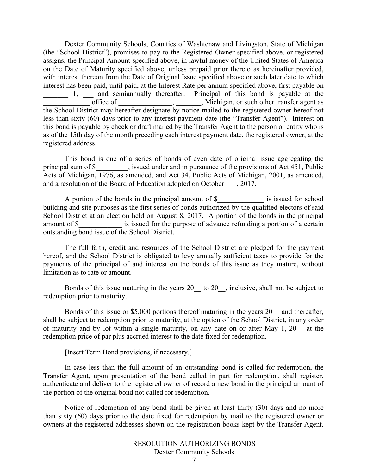Dexter Community Schools, Counties of Washtenaw and Livingston, State of Michigan (the "School District"), promises to pay to the Registered Owner specified above, or registered assigns, the Principal Amount specified above, in lawful money of the United States of America on the Date of Maturity specified above, unless prepaid prior thereto as hereinafter provided, with interest thereon from the Date of Original Issue specified above or such later date to which interest has been paid, until paid, at the Interest Rate per annum specified above, first payable on 1, and semiannually thereafter. Principal of this bond is payable at the \_\_\_\_\_\_\_\_\_\_\_\_\_ office of \_\_\_\_\_\_\_\_\_\_\_\_\_\_\_, \_\_\_\_\_\_\_, Michigan, or such other transfer agent as the School District may hereafter designate by notice mailed to the registered owner hereof not less than sixty (60) days prior to any interest payment date (the "Transfer Agent"). Interest on this bond is payable by check or draft mailed by the Transfer Agent to the person or entity who is as of the 15th day of the month preceding each interest payment date, the registered owner, at the registered address.

This bond is one of a series of bonds of even date of original issue aggregating the principal sum of \$\_\_\_\_\_\_\_\_\_, issued under and in pursuance of the provisions of Act 451, Public Acts of Michigan, 1976, as amended, and Act 34, Public Acts of Michigan, 2001, as amended, and a resolution of the Board of Education adopted on October \_\_\_, 2017.

A portion of the bonds in the principal amount of \$ is issued for school building and site purposes as the first series of bonds authorized by the qualified electors of said School District at an election held on August 8, 2017. A portion of the bonds in the principal amount of \$ sissued for the purpose of advance refunding a portion of a certain outstanding bond issue of the School District.

The full faith, credit and resources of the School District are pledged for the payment hereof, and the School District is obligated to levy annually sufficient taxes to provide for the payments of the principal of and interest on the bonds of this issue as they mature, without limitation as to rate or amount.

Bonds of this issue maturing in the years 20 to 20 , inclusive, shall not be subject to redemption prior to maturity.

Bonds of this issue or \$5,000 portions thereof maturing in the years 20\_ and thereafter, shall be subject to redemption prior to maturity, at the option of the School District, in any order of maturity and by lot within a single maturity, on any date on or after May 1, 20\_\_ at the redemption price of par plus accrued interest to the date fixed for redemption.

[Insert Term Bond provisions, if necessary.]

In case less than the full amount of an outstanding bond is called for redemption, the Transfer Agent, upon presentation of the bond called in part for redemption, shall register, authenticate and deliver to the registered owner of record a new bond in the principal amount of the portion of the original bond not called for redemption.

Notice of redemption of any bond shall be given at least thirty (30) days and no more than sixty (60) days prior to the date fixed for redemption by mail to the registered owner or owners at the registered addresses shown on the registration books kept by the Transfer Agent.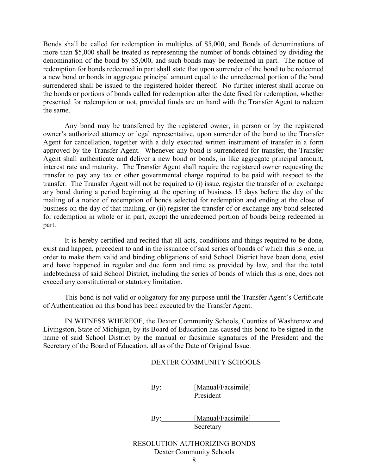Bonds shall be called for redemption in multiples of \$5,000, and Bonds of denominations of more than \$5,000 shall be treated as representing the number of bonds obtained by dividing the denomination of the bond by \$5,000, and such bonds may be redeemed in part. The notice of redemption for bonds redeemed in part shall state that upon surrender of the bond to be redeemed a new bond or bonds in aggregate principal amount equal to the unredeemed portion of the bond surrendered shall be issued to the registered holder thereof. No further interest shall accrue on the bonds or portions of bonds called for redemption after the date fixed for redemption, whether presented for redemption or not, provided funds are on hand with the Transfer Agent to redeem the same.

Any bond may be transferred by the registered owner, in person or by the registered owner's authorized attorney or legal representative, upon surrender of the bond to the Transfer Agent for cancellation, together with a duly executed written instrument of transfer in a form approved by the Transfer Agent. Whenever any bond is surrendered for transfer, the Transfer Agent shall authenticate and deliver a new bond or bonds, in like aggregate principal amount, interest rate and maturity. The Transfer Agent shall require the registered owner requesting the transfer to pay any tax or other governmental charge required to be paid with respect to the transfer. The Transfer Agent will not be required to (i) issue, register the transfer of or exchange any bond during a period beginning at the opening of business 15 days before the day of the mailing of a notice of redemption of bonds selected for redemption and ending at the close of business on the day of that mailing, or (ii) register the transfer of or exchange any bond selected for redemption in whole or in part, except the unredeemed portion of bonds being redeemed in part.

It is hereby certified and recited that all acts, conditions and things required to be done, exist and happen, precedent to and in the issuance of said series of bonds of which this is one, in order to make them valid and binding obligations of said School District have been done, exist and have happened in regular and due form and time as provided by law, and that the total indebtedness of said School District, including the series of bonds of which this is one, does not exceed any constitutional or statutory limitation.

This bond is not valid or obligatory for any purpose until the Transfer Agent's Certificate of Authentication on this bond has been executed by the Transfer Agent.

IN WITNESS WHEREOF, the Dexter Community Schools, Counties of Washtenaw and Livingston, State of Michigan, by its Board of Education has caused this bond to be signed in the name of said School District by the manual or facsimile signatures of the President and the Secretary of the Board of Education, all as of the Date of Original Issue.

#### DEXTER COMMUNITY SCHOOLS

By: Manual/Facsimile President

By: [Manual/Facsimile] Secretary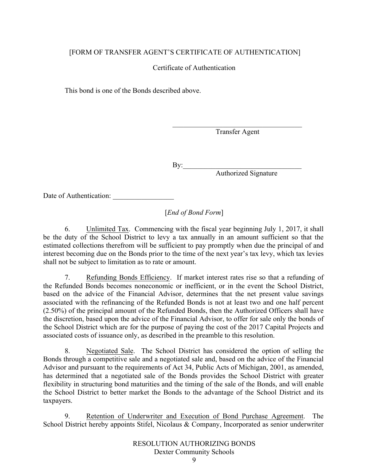#### [FORM OF TRANSFER AGENT'S CERTIFICATE OF AUTHENTICATION]

#### Certificate of Authentication

This bond is one of the Bonds described above.

 $\mathcal{L}_\text{max}$  , and the set of the set of the set of the set of the set of the set of the set of the set of the set of the set of the set of the set of the set of the set of the set of the set of the set of the set of the Transfer Agent

 $\mathbf{By:}$ Authorized Signature

Date of Authentication: \_\_\_\_\_\_\_\_\_\_\_\_\_\_\_\_\_

[*End of Bond Form*]

6. Unlimited Tax. Commencing with the fiscal year beginning July 1, 2017, it shall be the duty of the School District to levy a tax annually in an amount sufficient so that the estimated collections therefrom will be sufficient to pay promptly when due the principal of and interest becoming due on the Bonds prior to the time of the next year's tax levy, which tax levies shall not be subject to limitation as to rate or amount.

7. Refunding Bonds Efficiency. If market interest rates rise so that a refunding of the Refunded Bonds becomes noneconomic or inefficient, or in the event the School District, based on the advice of the Financial Advisor, determines that the net present value savings associated with the refinancing of the Refunded Bonds is not at least two and one half percent (2.50%) of the principal amount of the Refunded Bonds, then the Authorized Officers shall have the discretion, based upon the advice of the Financial Advisor, to offer for sale only the bonds of the School District which are for the purpose of paying the cost of the 2017 Capital Projects and associated costs of issuance only, as described in the preamble to this resolution.

8. Negotiated Sale. The School District has considered the option of selling the Bonds through a competitive sale and a negotiated sale and, based on the advice of the Financial Advisor and pursuant to the requirements of Act 34, Public Acts of Michigan, 2001, as amended, has determined that a negotiated sale of the Bonds provides the School District with greater flexibility in structuring bond maturities and the timing of the sale of the Bonds, and will enable the School District to better market the Bonds to the advantage of the School District and its taxpayers.

9. Retention of Underwriter and Execution of Bond Purchase Agreement. The School District hereby appoints Stifel, Nicolaus & Company, Incorporated as senior underwriter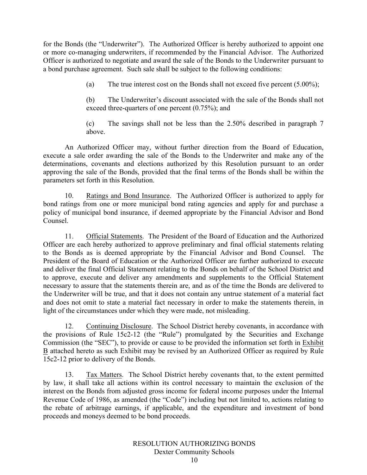for the Bonds (the "Underwriter"). The Authorized Officer is hereby authorized to appoint one or more co-managing underwriters, if recommended by the Financial Advisor. The Authorized Officer is authorized to negotiate and award the sale of the Bonds to the Underwriter pursuant to a bond purchase agreement. Such sale shall be subject to the following conditions:

(a) The true interest cost on the Bonds shall not exceed five percent (5.00%);

(b) The Underwriter's discount associated with the sale of the Bonds shall not exceed three-quarters of one percent  $(0.75\%)$ ; and

(c) The savings shall not be less than the 2.50% described in paragraph 7 above.

An Authorized Officer may, without further direction from the Board of Education, execute a sale order awarding the sale of the Bonds to the Underwriter and make any of the determinations, covenants and elections authorized by this Resolution pursuant to an order approving the sale of the Bonds, provided that the final terms of the Bonds shall be within the parameters set forth in this Resolution.

10. Ratings and Bond Insurance. The Authorized Officer is authorized to apply for bond ratings from one or more municipal bond rating agencies and apply for and purchase a policy of municipal bond insurance, if deemed appropriate by the Financial Advisor and Bond Counsel.

11. Official Statements. The President of the Board of Education and the Authorized Officer are each hereby authorized to approve preliminary and final official statements relating to the Bonds as is deemed appropriate by the Financial Advisor and Bond Counsel. The President of the Board of Education or the Authorized Officer are further authorized to execute and deliver the final Official Statement relating to the Bonds on behalf of the School District and to approve, execute and deliver any amendments and supplements to the Official Statement necessary to assure that the statements therein are, and as of the time the Bonds are delivered to the Underwriter will be true, and that it does not contain any untrue statement of a material fact and does not omit to state a material fact necessary in order to make the statements therein, in light of the circumstances under which they were made, not misleading.

12. Continuing Disclosure. The School District hereby covenants, in accordance with the provisions of Rule 15c2-12 (the "Rule") promulgated by the Securities and Exchange Commission (the "SEC"), to provide or cause to be provided the information set forth in Exhibit B attached hereto as such Exhibit may be revised by an Authorized Officer as required by Rule 15c2-12 prior to delivery of the Bonds.

13. Tax Matters. The School District hereby covenants that, to the extent permitted by law, it shall take all actions within its control necessary to maintain the exclusion of the interest on the Bonds from adjusted gross income for federal income purposes under the Internal Revenue Code of 1986, as amended (the "Code") including but not limited to, actions relating to the rebate of arbitrage earnings, if applicable, and the expenditure and investment of bond proceeds and moneys deemed to be bond proceeds.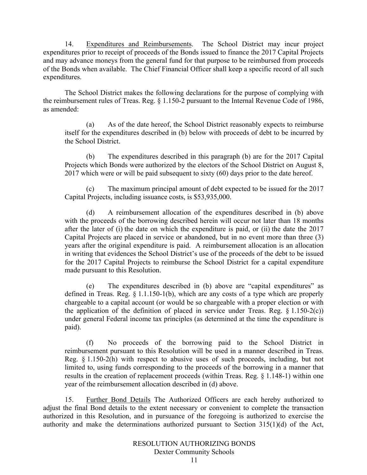14. Expenditures and Reimbursements. The School District may incur project expenditures prior to receipt of proceeds of the Bonds issued to finance the 2017 Capital Projects and may advance moneys from the general fund for that purpose to be reimbursed from proceeds of the Bonds when available. The Chief Financial Officer shall keep a specific record of all such expenditures.

The School District makes the following declarations for the purpose of complying with the reimbursement rules of Treas. Reg. § 1.150-2 pursuant to the Internal Revenue Code of 1986, as amended:

(a) As of the date hereof, the School District reasonably expects to reimburse itself for the expenditures described in (b) below with proceeds of debt to be incurred by the School District.

(b) The expenditures described in this paragraph (b) are for the 2017 Capital Projects which Bonds were authorized by the electors of the School District on August 8, 2017 which were or will be paid subsequent to sixty (60) days prior to the date hereof.

(c) The maximum principal amount of debt expected to be issued for the 2017 Capital Projects, including issuance costs, is \$53,935,000.

(d) A reimbursement allocation of the expenditures described in (b) above with the proceeds of the borrowing described herein will occur not later than 18 months after the later of (i) the date on which the expenditure is paid, or (ii) the date the 2017 Capital Projects are placed in service or abandoned, but in no event more than three (3) years after the original expenditure is paid. A reimbursement allocation is an allocation in writing that evidences the School District's use of the proceeds of the debt to be issued for the 2017 Capital Projects to reimburse the School District for a capital expenditure made pursuant to this Resolution.

(e) The expenditures described in (b) above are "capital expenditures" as defined in Treas. Reg.  $\S$  1.1.150-1(b), which are any costs of a type which are properly chargeable to a capital account (or would be so chargeable with a proper election or with the application of the definition of placed in service under Treas. Reg.  $\S$  1.150-2(c)) under general Federal income tax principles (as determined at the time the expenditure is paid).

(f) No proceeds of the borrowing paid to the School District in reimbursement pursuant to this Resolution will be used in a manner described in Treas. Reg. § 1.150-2(h) with respect to abusive uses of such proceeds, including, but not limited to, using funds corresponding to the proceeds of the borrowing in a manner that results in the creation of replacement proceeds (within Treas. Reg. § 1.148-1) within one year of the reimbursement allocation described in (d) above.

15. Further Bond Details The Authorized Officers are each hereby authorized to adjust the final Bond details to the extent necessary or convenient to complete the transaction authorized in this Resolution, and in pursuance of the foregoing is authorized to exercise the authority and make the determinations authorized pursuant to Section 315(1)(d) of the Act,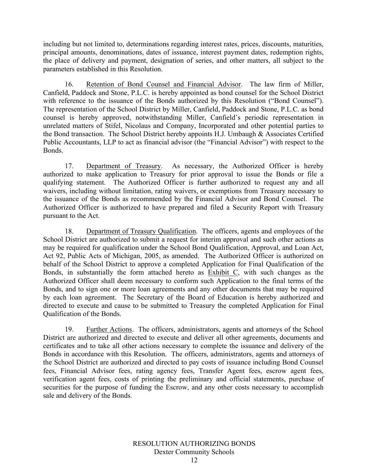including but not limited to, determinations regarding interest rates, prices, discounts, maturities, principal amounts, denominations, dates of issuance, interest payment dates, redemption rights, the place of delivery and payment, designation of series, and other matters, all subject to the parameters established in this Resolution.

16. Retention of Bond Counsel and Financial Advisor. The law firm of Miller, Canfield, Paddock and Stone, P.L.C. is hereby appointed as bond counsel for the School District with reference to the issuance of the Bonds authorized by this Resolution ("Bond Counsel"). The representation of the School District by Miller, Canfield, Paddock and Stone, P.L.C. as bond counsel is hereby approved, notwithstanding Miller, Canfield's periodic representation in unrelated matters of Stifel, Nicolaus and Company, Incorporated and other potential parties to the Bond transaction. The School District hereby appoints H.J. Umbaugh & Associates Certified Public Accountants, LLP to act as financial advisor (the "Financial Advisor") with respect to the Bonds.

17. Department of Treasury. As necessary, the Authorized Officer is hereby authorized to make application to Treasury for prior approval to issue the Bonds or file a qualifying statement. The Authorized Officer is further authorized to request any and all waivers, including without limitation, rating waivers, or exemptions from Treasury necessary to the issuance of the Bonds as recommended by the Financial Advisor and Bond Counsel. The Authorized Officer is authorized to have prepared and filed a Security Report with Treasury pursuant to the Act.

18. Department of Treasury Qualification. The officers, agents and employees of the School District are authorized to submit a request for interim approval and such other actions as may be required for qualification under the School Bond Qualification, Approval, and Loan Act, Act 92, Public Acts of Michigan, 2005, as amended. The Authorized Officer is authorized on behalf of the School District to approve a completed Application for Final Qualification of the Bonds, in substantially the form attached hereto as Exhibit C, with such changes as the Authorized Officer shall deem necessary to conform such Application to the final terms of the Bonds, and to sign one or more loan agreements and any other documents that may be required by each loan agreement. The Secretary of the Board of Education is hereby authorized and directed to execute and cause to be submitted to Treasury the completed Application for Final Qualification of the Bonds.

19. Further Actions. The officers, administrators, agents and attorneys of the School District are authorized and directed to execute and deliver all other agreements, documents and certificates and to take all other actions necessary to complete the issuance and delivery of the Bonds in accordance with this Resolution. The officers, administrators, agents and attorneys of the School District are authorized and directed to pay costs of issuance including Bond Counsel fees, Financial Advisor fees, rating agency fees, Transfer Agent fees, escrow agent fees, verification agent fees, costs of printing the preliminary and official statements, purchase of securities for the purpose of funding the Escrow, and any other costs necessary to accomplish sale and delivery of the Bonds.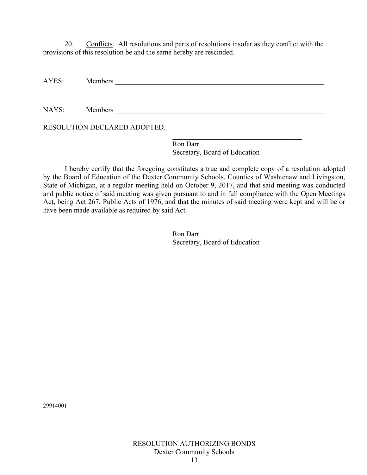20. Conflicts. All resolutions and parts of resolutions insofar as they conflict with the provisions of this resolution be and the same hereby are rescinded.

AYES: Members

NAYS: Members **Members** Members **Manual** 

RESOLUTION DECLARED ADOPTED.

 $\mathcal{L}_\text{max}$  , and the set of the set of the set of the set of the set of the set of the set of the set of the set of the set of the set of the set of the set of the set of the set of the set of the set of the set of the Ron Darr Secretary, Board of Education

I hereby certify that the foregoing constitutes a true and complete copy of a resolution adopted by the Board of Education of the Dexter Community Schools, Counties of Washtenaw and Livingston, State of Michigan, at a regular meeting held on October 9, 2017, and that said meeting was conducted and public notice of said meeting was given pursuant to and in full compliance with the Open Meetings Act, being Act 267, Public Acts of 1976, and that the minutes of said meeting were kept and will be or have been made available as required by said Act.

> Ron Darr Secretary, Board of Education

 $\mathcal{L}_\text{max}$  , and the set of the set of the set of the set of the set of the set of the set of the set of the set of the set of the set of the set of the set of the set of the set of the set of the set of the set of the

29914001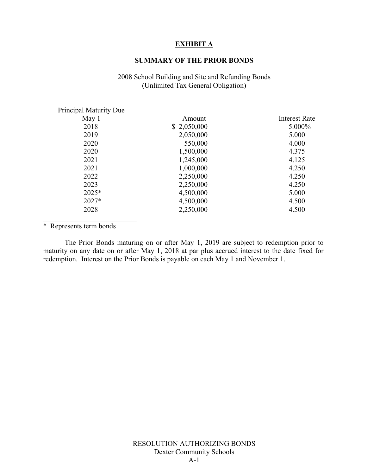#### **EXHIBIT A**

#### **SUMMARY OF THE PRIOR BONDS**

#### 2008 School Building and Site and Refunding Bonds (Unlimited Tax General Obligation)

| Amount      | <b>Interest Rate</b> |
|-------------|----------------------|
| \$2,050,000 | 5.000%               |
| 2,050,000   | 5.000                |
| 550,000     | 4.000                |
| 1,500,000   | 4.375                |
| 1,245,000   | 4.125                |
| 1,000,000   | 4.250                |
| 2,250,000   | 4.250                |
| 2,250,000   | 4.250                |
| 4,500,000   | 5.000                |
| 4,500,000   | 4.500                |
| 2,250,000   | 4.500                |
|             |                      |

\* Represents term bonds

 $\mathcal{L}_\text{max}$ 

The Prior Bonds maturing on or after May 1, 2019 are subject to redemption prior to maturity on any date on or after May 1, 2018 at par plus accrued interest to the date fixed for redemption. Interest on the Prior Bonds is payable on each May 1 and November 1.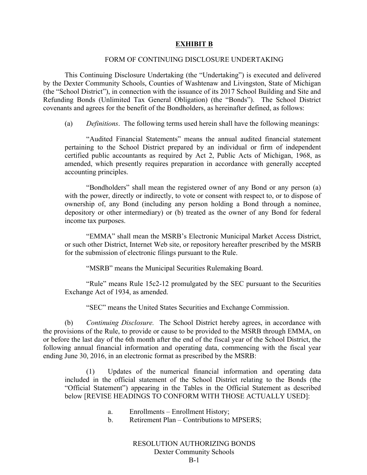#### **EXHIBIT B**

#### FORM OF CONTINUING DISCLOSURE UNDERTAKING

This Continuing Disclosure Undertaking (the "Undertaking") is executed and delivered by the Dexter Community Schools, Counties of Washtenaw and Livingston, State of Michigan (the "School District"), in connection with the issuance of its 2017 School Building and Site and Refunding Bonds (Unlimited Tax General Obligation) (the "Bonds"). The School District covenants and agrees for the benefit of the Bondholders, as hereinafter defined, as follows:

(a) *Definitions*. The following terms used herein shall have the following meanings:

"Audited Financial Statements" means the annual audited financial statement pertaining to the School District prepared by an individual or firm of independent certified public accountants as required by Act 2, Public Acts of Michigan, 1968, as amended, which presently requires preparation in accordance with generally accepted accounting principles.

"Bondholders" shall mean the registered owner of any Bond or any person (a) with the power, directly or indirectly, to vote or consent with respect to, or to dispose of ownership of, any Bond (including any person holding a Bond through a nominee, depository or other intermediary) or (b) treated as the owner of any Bond for federal income tax purposes.

"EMMA" shall mean the MSRB's Electronic Municipal Market Access District, or such other District, Internet Web site, or repository hereafter prescribed by the MSRB for the submission of electronic filings pursuant to the Rule.

"MSRB" means the Municipal Securities Rulemaking Board.

"Rule" means Rule 15c2-12 promulgated by the SEC pursuant to the Securities Exchange Act of 1934, as amended.

"SEC" means the United States Securities and Exchange Commission.

(b) *Continuing Disclosure.* The School District hereby agrees, in accordance with the provisions of the Rule, to provide or cause to be provided to the MSRB through EMMA, on or before the last day of the 6th month after the end of the fiscal year of the School District, the following annual financial information and operating data, commencing with the fiscal year ending June 30, 2016, in an electronic format as prescribed by the MSRB:

(1) Updates of the numerical financial information and operating data included in the official statement of the School District relating to the Bonds (the "Official Statement") appearing in the Tables in the Official Statement as described below [REVISE HEADINGS TO CONFORM WITH THOSE ACTUALLY USED]:

- a. Enrollments Enrollment History;
- b. Retirement Plan Contributions to MPSERS;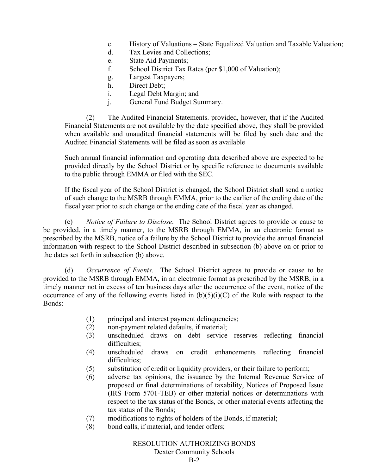- c. History of Valuations State Equalized Valuation and Taxable Valuation;
- d. Tax Levies and Collections;
- e. State Aid Payments;
- f. School District Tax Rates (per \$1,000 of Valuation);
- g. Largest Taxpayers;
- h. Direct Debt;
- i. Legal Debt Margin; and
- j. General Fund Budget Summary.

(2) The Audited Financial Statements. provided, however, that if the Audited Financial Statements are not available by the date specified above, they shall be provided when available and unaudited financial statements will be filed by such date and the Audited Financial Statements will be filed as soon as available

Such annual financial information and operating data described above are expected to be provided directly by the School District or by specific reference to documents available to the public through EMMA or filed with the SEC.

If the fiscal year of the School District is changed, the School District shall send a notice of such change to the MSRB through EMMA, prior to the earlier of the ending date of the fiscal year prior to such change or the ending date of the fiscal year as changed.

(c) *Notice of Failure to Disclose*. The School District agrees to provide or cause to be provided, in a timely manner, to the MSRB through EMMA, in an electronic format as prescribed by the MSRB, notice of a failure by the School District to provide the annual financial information with respect to the School District described in subsection (b) above on or prior to the dates set forth in subsection (b) above.

(d) *Occurrence of Events*. The School District agrees to provide or cause to be provided to the MSRB through EMMA, in an electronic format as prescribed by the MSRB, in a timely manner not in excess of ten business days after the occurrence of the event, notice of the occurrence of any of the following events listed in  $(b)(5)(i)(C)$  of the Rule with respect to the Bonds:

- (1) principal and interest payment delinquencies;
- (2) non-payment related defaults, if material;
- (3) unscheduled draws on debt service reserves reflecting financial difficulties;
- (4) unscheduled draws on credit enhancements reflecting financial difficulties;
- (5) substitution of credit or liquidity providers, or their failure to perform;
- (6) adverse tax opinions, the issuance by the Internal Revenue Service of proposed or final determinations of taxability, Notices of Proposed Issue (IRS Form 5701-TEB) or other material notices or determinations with respect to the tax status of the Bonds, or other material events affecting the tax status of the Bonds;
- (7) modifications to rights of holders of the Bonds, if material;
- (8) bond calls, if material, and tender offers;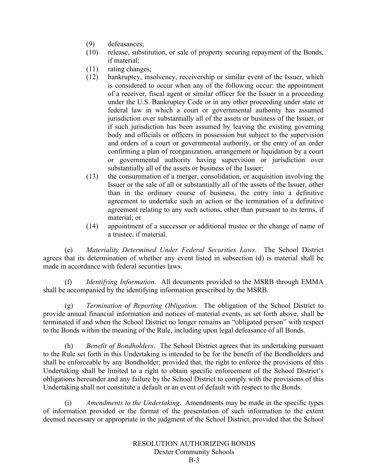- (9) defeasances;
- (10) release, substitution, or sale of property securing repayment of the Bonds, if material;
- (11) rating changes;
- (12) bankruptcy, insolvency, receivership or similar event of the Issuer, which is considered to occur when any of the following occur: the appointment of a receiver, fiscal agent or similar officer for the Issuer in a proceeding under the U.S. Bankruptcy Code or in any other proceeding under state or federal law in which a court or governmental authority has assumed jurisdiction over substantially all of the assets or business of the Issuer, or if such jurisdiction has been assumed by leaving the existing governing body and officials or officers in possession but subject to the supervision and orders of a court or governmental authority, or the entry of an order confirming a plan of reorganization, arrangement or liquidation by a court or governmental authority having supervision or jurisdiction over substantially all of the assets or business of the Issuer;
- (13) the consummation of a merger, consolidation, or acquisition involving the Issuer or the sale of all or substantially all of the assets of the Issuer, other than in the ordinary course of business, the entry into a definitive agreement to undertake such an action or the termination of a definitive agreement relating to any such actions, other than pursuant to its terms, if material; or
- (14) appointment of a successor or additional trustee or the change of name of a trustee, if material.

(e) *Materiality Determined Under Federal Securities Laws*. The School District agrees that its determination of whether any event listed in subsection (d) is material shall be made in accordance with federal securities laws.

(f) *Identifying Information*. All documents provided to the MSRB through EMMA shall be accompanied by the identifying information prescribed by the MSRB.

(g) *Termination of Reporting Obligation*. The obligation of the School District to provide annual financial information and notices of material events, as set forth above, shall be terminated if and when the School District no longer remains an "obligated person" with respect to the Bonds within the meaning of the Rule, including upon legal defeasance of all Bonds.

(h) *Benefit of Bondholders*. The School District agrees that its undertaking pursuant to the Rule set forth in this Undertaking is intended to be for the benefit of the Bondholders and shall be enforceable by any Bondholder; provided that, the right to enforce the provisions of this Undertaking shall be limited to a right to obtain specific enforcement of the School District's obligations hereunder and any failure by the School District to comply with the provisions of this Undertaking shall not constitute a default or an event of default with respect to the Bonds.

(i) *Amendments to the Undertaking*. Amendments may be made in the specific types of information provided or the format of the presentation of such information to the extent deemed necessary or appropriate in the judgment of the School District, provided that the School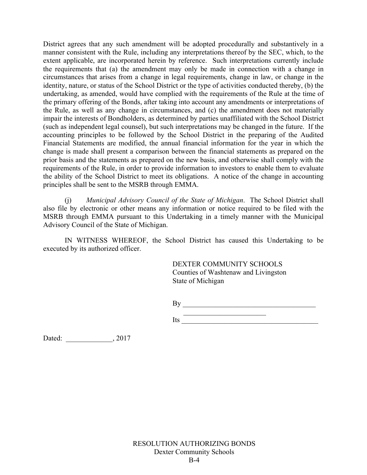District agrees that any such amendment will be adopted procedurally and substantively in a manner consistent with the Rule, including any interpretations thereof by the SEC, which, to the extent applicable, are incorporated herein by reference. Such interpretations currently include the requirements that (a) the amendment may only be made in connection with a change in circumstances that arises from a change in legal requirements, change in law, or change in the identity, nature, or status of the School District or the type of activities conducted thereby, (b) the undertaking, as amended, would have complied with the requirements of the Rule at the time of the primary offering of the Bonds, after taking into account any amendments or interpretations of the Rule, as well as any change in circumstances, and (c) the amendment does not materially impair the interests of Bondholders, as determined by parties unaffiliated with the School District (such as independent legal counsel), but such interpretations may be changed in the future. If the accounting principles to be followed by the School District in the preparing of the Audited Financial Statements are modified, the annual financial information for the year in which the change is made shall present a comparison between the financial statements as prepared on the prior basis and the statements as prepared on the new basis, and otherwise shall comply with the requirements of the Rule, in order to provide information to investors to enable them to evaluate the ability of the School District to meet its obligations. A notice of the change in accounting principles shall be sent to the MSRB through EMMA.

(j) *Municipal Advisory Council of the State of Michigan*. The School District shall also file by electronic or other means any information or notice required to be filed with the MSRB through EMMA pursuant to this Undertaking in a timely manner with the Municipal Advisory Council of the State of Michigan.

IN WITNESS WHEREOF, the School District has caused this Undertaking to be executed by its authorized officer.

> DEXTER COMMUNITY SCHOOLS Counties of Washtenaw and Livingston State of Michigan

By \_\_\_\_\_\_\_\_\_\_\_\_\_\_\_\_\_\_\_\_\_\_\_\_\_\_\_\_\_\_\_\_\_\_\_\_\_

 $\overline{\phantom{a}}$  , where  $\overline{\phantom{a}}$  , where  $\overline{\phantom{a}}$  , where  $\overline{\phantom{a}}$  , where  $\overline{\phantom{a}}$ Its

Dated: \_\_\_\_\_\_\_\_\_\_\_\_\_\_, 2017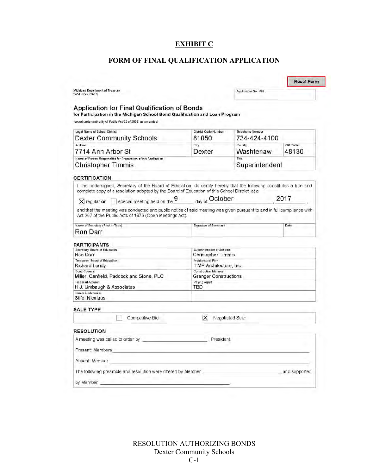# **EXHIBIT C**

# **FORM OF FINAL QUALIFICATION APPLICATION**

|                                                                                                                                                                                                                                                                                                                                                                                                                                                                                                                      |                                                        |                      | <b>Reset Form</b> |  |  |
|----------------------------------------------------------------------------------------------------------------------------------------------------------------------------------------------------------------------------------------------------------------------------------------------------------------------------------------------------------------------------------------------------------------------------------------------------------------------------------------------------------------------|--------------------------------------------------------|----------------------|-------------------|--|--|
| Michigan Department of Treasury<br>3451 (Rev. 09-16)                                                                                                                                                                                                                                                                                                                                                                                                                                                                 |                                                        | Application No. SBL  |                   |  |  |
| <b>Application for Final Qualification of Bonds</b><br>for Participation in the Michigan School Bond Qualification and Loan Program<br>Issued under authority of Public Act 92 of 2005, as amended.                                                                                                                                                                                                                                                                                                                  |                                                        |                      |                   |  |  |
| Legal Name of School District                                                                                                                                                                                                                                                                                                                                                                                                                                                                                        | District Code Number                                   | Telephone Number     |                   |  |  |
| Dexter Community Schools                                                                                                                                                                                                                                                                                                                                                                                                                                                                                             | 81050                                                  | 734-424-4100         |                   |  |  |
| Address<br>7714 Ann Arbor St                                                                                                                                                                                                                                                                                                                                                                                                                                                                                         | City<br>Dexter                                         | County.<br>Washtenaw | ZIP Code<br>48130 |  |  |
| Name of Person Responsible for Preparation of this Application<br><b>Christopher Timmis</b>                                                                                                                                                                                                                                                                                                                                                                                                                          | Title<br>Superintendent                                |                      |                   |  |  |
| <b>CERTIFICATION</b>                                                                                                                                                                                                                                                                                                                                                                                                                                                                                                 |                                                        |                      |                   |  |  |
| I, the undersigned, Secretary of the Board of Education, do certify hereby that the following constitutes a true and<br>complete copy of a resolution adopted by the Board of Education of this School District, at a<br>$\overline{X}$ regular or $\qquad \qquad$ special meeting held on the 9 $\qquad \qquad$ day of October<br>and that the meeting was conducted and public notice of said meeting was given pursuant to and in full compliance with<br>Act 267 of the Public Acts of 1976 (Open Meetings Act). |                                                        |                      | 2017              |  |  |
| Name of Secretary (Print or Type)                                                                                                                                                                                                                                                                                                                                                                                                                                                                                    | Signature of Secretary                                 |                      | Date              |  |  |
| Ron Darr                                                                                                                                                                                                                                                                                                                                                                                                                                                                                                             |                                                        |                      |                   |  |  |
| PARTICIPANTS                                                                                                                                                                                                                                                                                                                                                                                                                                                                                                         |                                                        |                      |                   |  |  |
| Secretary, Board of Education<br>Ron Darr                                                                                                                                                                                                                                                                                                                                                                                                                                                                            | Superintendent of Schools<br><b>Christopher Timmis</b> |                      |                   |  |  |
| Treasurer, Board of Education                                                                                                                                                                                                                                                                                                                                                                                                                                                                                        | Architectural Firm                                     |                      |                   |  |  |
| Richard Lundy                                                                                                                                                                                                                                                                                                                                                                                                                                                                                                        | TMP Architecture, Inc.                                 |                      |                   |  |  |
| <b>Bond Counsel</b><br>Miller, Canfield, Paddock and Stone, PLC                                                                                                                                                                                                                                                                                                                                                                                                                                                      | Construction Manager<br><b>Granger Constructions</b>   |                      |                   |  |  |
| Financial Advisor<br>H.J. Umbaugh & Associates                                                                                                                                                                                                                                                                                                                                                                                                                                                                       | Paying Agent<br>TBD                                    |                      |                   |  |  |
| Senior Underwriter<br>Stifel Nicolaus                                                                                                                                                                                                                                                                                                                                                                                                                                                                                |                                                        |                      |                   |  |  |
| <b>SALE TYPE</b>                                                                                                                                                                                                                                                                                                                                                                                                                                                                                                     |                                                        |                      |                   |  |  |
| Competitive Bid                                                                                                                                                                                                                                                                                                                                                                                                                                                                                                      | $\times$                                               | Negotiated Sale      |                   |  |  |
| <b>RESOLUTION</b>                                                                                                                                                                                                                                                                                                                                                                                                                                                                                                    |                                                        |                      |                   |  |  |
| A meeting was called to order by <b>contact and the set of the set of the set of the set of the set of the set of the set of the set of the set of the set of the set of the set of the set of the set of the set of the set of </b>                                                                                                                                                                                                                                                                                 | President                                              |                      |                   |  |  |
| Present: Members                                                                                                                                                                                                                                                                                                                                                                                                                                                                                                     |                                                        |                      |                   |  |  |
| Absent: Member                                                                                                                                                                                                                                                                                                                                                                                                                                                                                                       |                                                        |                      |                   |  |  |
| The following preamble and resolution were offered by Member                                                                                                                                                                                                                                                                                                                                                                                                                                                         |                                                        |                      | and supported     |  |  |
| by Member                                                                                                                                                                                                                                                                                                                                                                                                                                                                                                            |                                                        |                      |                   |  |  |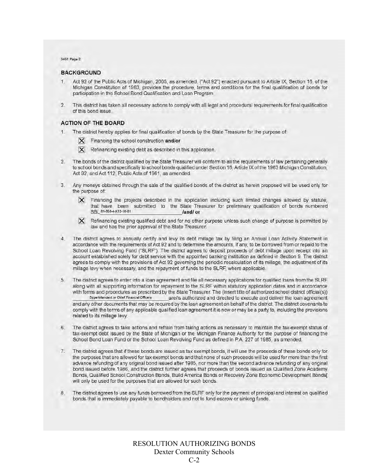3451 Page 2

#### **BACKGROUND**

- $\mathbf{f}$ Act 92 of the Public Acts of Michigan, 2005, as amended, ("Act 92") enacted pursuant to Article IX, Section 16, of the Michigan Constitution of 1963, provides the procedure, terms and conditions for the final qualification of bonds for participation in the School Bond Qualification and Loan Program.
- $2.$ This district has taken all necessary actions to comply with all legal and procedural requirements for final qualification of this bond issue.

#### **ACTION OF THE BOARD**

- The district hereby applies for final qualification of bonds by the State Treasurer for the purpose of
	- $X$  Financing the school construction and/or
	- $\mathsf{X}$  Refinancing existing debt as described in this application.
- $2.$ The bonds of the district qualified by the State Treasurer will conform to all the requirements of law pertaining generally to school bonds and specifically to school bonds qualified under Section 16, Article IX of the 1963 Michigan Constitution, Act 92, and Act 112, Public Acts of 1961, as amended.
- 3. Any moneys obtained through the sale of the qualified bonds of the district as herein proposed will be used only for the purpose of:
	- $\times$ Financing the projects described in the application including such limited changes allowed by statute, that have been submitted to the State Treasurer for preliminary qualification of bonds numbered SBL 81-050-4-K12-16-01 landl or
	- $\overline{\mathsf{x}}$ Refinancing existing qualified debt and for no other purpose unless such change of purpose is permitted by law and has the prior approval of the State Treasurer.
- The district agrees to annually certify and levy its debt millage tax by filing an Annual Loan Activity Statement in  $4.$ accordance with the requirements of Act 92 and to determine the amounts, if any, to be borrowed from or repaid to the School Loan Revolving Fund ("SLRF"). The district agrees to deposit proceeds of debt millage upon receipt into an account established solely for debt service with the appointed banking institution as defined in Section 9. The district agrees to comply with the provisions of Act 92 governing the periodic recalculation of its millage, the adjustment of its millage levy when necessary, and the repayment of funds to the SLRF, where applicable.
- 5 The district agrees to enter into a loan agreement and file all necessary applications for qualified loans from the SLRF along with all supporting information for repayment to the SLRF within statutory application dates and in accordance with forms and procedures as prescribed by the State Treasurer. The (insert title of authorized school district official(s)) Superintendent or Chief Financial Officers are/is authorized and directed to execute and deliver the loan agreement and any other documents that may be required by the loan agreement on behalf of the district. The district covenants to comply with the terms of any applicable qualified loan agreement it is now or may be a party to, including the provisions related to its millage levy.
- The district agrees to take actions and refrain from taking actions as necessary to maintain the tax-exempt status of 6. tax-exempt debt issued by the State of Michigan or the Michigan Finance Authority for the purpose of financing the School Bond Loan Fund or the School Loan Revolving Fund as defined in P.A. 227 of 1985, as amended.
- $7.$ The district agrees that if these bonds are issued as tax exempt bonds, it will use the proceeds of these bonds only for the purposes that are allowed for tax exempt bonds and that none of such proceeds will be used for more than the first advance refunding of any original bond issued after 1985, nor more than the second advance refunding of any original bond issued before 1986, and the district further agrees that proceeds of bonds issued as Qualified Zone Academy Bonds, Qualified School Construction Bonds, Build America Bonds or Recovery Zone Economic Development Bonds[ will only be used for the purposes that are allowed for such bonds.
- The district agrees to use any funds borrowed from the SLRF only for the payment of principal and interest on qualified 8 bonds that is immediately payable to bondholders and not to fund escrow or sinking funds.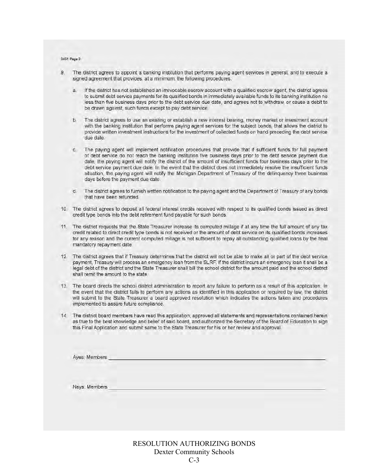3451 Page 3

- $\mathbf{q}$ The district agrees to appoint a banking institution that performs paying agent services in general, and to execute a signed agreement that provides, at a minimum, the following procedures:
	- a. If the district has not established an irrevocable escrow account with a qualified escrow agent, the district agrees to submit debt service payments for its qualified bonds in immediately available funds to its banking institution no less than five business days prior to the debt service due date, and agrees not to withdraw, or cause a debit to be drawn against, such funds except to pay debt service.
	- The district agrees to use an existing or establish a new interest bearing, money market or investment account  $b$ with the banking institution that performs paying agent services for the subject bonds, that allows the district to provide written investment instructions for the investment of collected funds on hand preceding the debt service due date.
	- The paying agent will implement notification procedures that provide that if sufficient funds for full payment C. of debt service do not reach the banking institution five business days prior to the debt service payment due date, the paying agent will notify the district of the amount of insufficient funds four business days prior to the debt service payment due date. In the event that the district does not immediately resolve the insufficient funds situation, the paying agent will notify the Michigan Department of Treasury of the delinquency three business days before the payment due date.
	- $d$ The district agrees to furnish written notification to the paying agent and the Department of Treasury of any bonds that have been refunded.
- 10. The district agrees to deposit all federal interest credits received with respect to its qualified bonds issued as direct credit type bonds into the debt retirement fund payable for such bonds.
- 11. The district requests that the State Treasurer increase its computed millage if at any time the full amount of any tax credit related to direct credit type bonds is not received or the amount of debt service on its qualified bonds increases for any reason and the current computed millage is not sufficient to repay all outstanding qualified loans by the final mandatory repayment date.
- 12. The district agrees that if Treasury determines that the district will not be able to make all or part of the debt service payment, Treasury will process an emergency loan from the SLRF. If the district incurs an emergency loan it shall be a legal debt of the district and the State Treasurer shall bill the school district for the amount paid and the school district shall remit the amount to the state.
- 13. The board directs the school district administration to report any failure to perform as a result of this application. In the event that the district fails to perform any actions as identified in this application or required by law, the district will submit to the State Treasurer a board approved resolution which indicates the actions taken and procedures implemented to assure future compliance.
- 14. The district board members have read this application, approved all statements and representations contained herein as true to the best knowledge and belief of said board, and authorized the Secretary of the Board of Education to sign this Final Application and submit same to the State Treasurer for his or her review and approval.

Ayes: Members

Nays: Members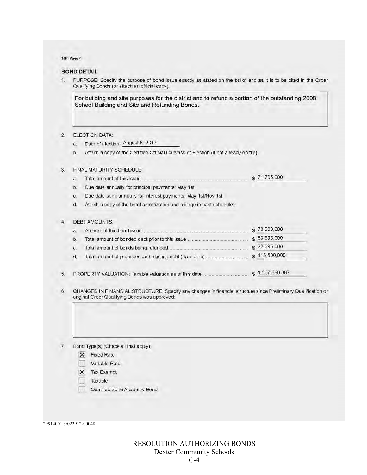#### 3451 Page 4

#### **BOND DETAIL**

PURPOSE: Specify the purpose of bond issue exactly as stated on the ballot and as it is to be cited in the Order  $\mathbf{1}$ Qualifying Bonds (or attach an official copy).

For building and site purposes for the district and to refund a portion of the outstanding 2008 School Building and Site and Refunding Bonds.

#### $2.$ ELECTION DATA:

a. Date of election: August 8, 2017

Attach a copy of the Certified Official Canvass of Election (if not already on file).  $b.$ 

#### FINAL MATURITY SCHEDULE.  $3.$

\$71,705,000 

b. Due date annually for principal payments: May 1st

c. Due date semi-annually for interest payments: May 1st/Nov 1st

d. Attach a copy of the bond amortization and millage impact schedules.

#### $\mathbf{4}$ **DEBT AMOUNTS:**

| $\overline{a}$ |                                                       | \$78,000,000    |
|----------------|-------------------------------------------------------|-----------------|
| $\mathbf b$    |                                                       | \$60,595,000    |
| Ċ.             |                                                       | \$22,095,000    |
| d.             |                                                       | \$116,500,000   |
|                | PROPERTY VALUATION: Taxable valuation as of this date | \$1,267,390,387 |

PROPERTY VALUATION: Taxable valuation as of this date .... 5.

CHANGES IN FINANCIAL STRUCTURE: Specify any changes in financial structure since Preliminary Qualification or 6. original Order Qualifying Bonds was approved:

- Bond Type(s) (Check all that apply):  $7.$ 
	- X Fixed Rate
	- Variable Rate
	- $X$  Tax Exempt
	- Taxable
	- Qualified Zone Academy Bond

29914001.3\022912-00048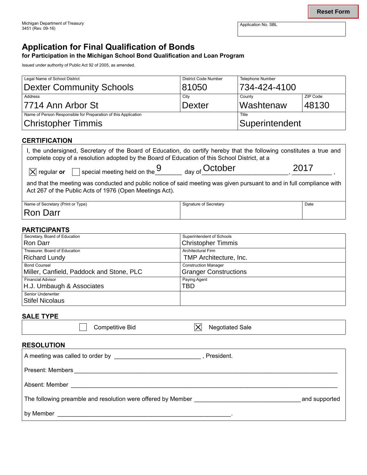# **Application for Final Qualification of Bonds**

# **for Participation in the Michigan School Bond Qualification and Loan Program**

| Legal Name of School District                                  | <b>District Code Number</b> | <b>Telephone Number</b> |          |  |
|----------------------------------------------------------------|-----------------------------|-------------------------|----------|--|
| <b>Dexter Community Schools</b>                                | 81050                       | 734-424-4100            |          |  |
| Address                                                        | City                        | County                  | ZIP Code |  |
| 7714 Ann Arbor St                                              | <b>Dexter</b>               | Washtenaw               | 48130    |  |
| Name of Person Responsible for Preparation of this Application | Title                       |                         |          |  |
| <b>Christopher Timmis</b>                                      | Superintendent              |                         |          |  |

## **CERTIFICATION**

| I, the undersigned, Secretary of the Board of Education, do certify hereby that the following constitutes a true and<br>complete copy of a resolution adopted by the Board of Education of this School District, at a |                           |      |  |  |  |  |  |
|-----------------------------------------------------------------------------------------------------------------------------------------------------------------------------------------------------------------------|---------------------------|------|--|--|--|--|--|
| $\overline{X}$ regular or $\overline{\phantom{X}}$ special meeting held on the 9                                                                                                                                      | <sub>day of</sub> October | 2017 |  |  |  |  |  |
| and that the meeting was conducted and public notice of said meeting was given pursuant to and in full compliance with<br>Act 267 of the Public Acts of 1976 (Open Meetings Act).                                     |                           |      |  |  |  |  |  |
| Name of Secretary (Print or Type)                                                                                                                                                                                     | Signature of Secretary    | Date |  |  |  |  |  |
| Ron Darr                                                                                                                                                                                                              |                           |      |  |  |  |  |  |

#### **PARTICIPANTS**

| Michigan Department of Treasury                                                                                                                                                                                                                                  |                                                 | Application No. SBL     | <b>Reset Form</b> |  |
|------------------------------------------------------------------------------------------------------------------------------------------------------------------------------------------------------------------------------------------------------------------|-------------------------------------------------|-------------------------|-------------------|--|
| 3451 (Rev. 09-16)                                                                                                                                                                                                                                                |                                                 |                         |                   |  |
| <b>Application for Final Qualification of Bonds</b><br>for Participation in the Michigan School Bond Qualification and Loan Program<br>Issued under authority of Public Act 92 of 2005, as amended.                                                              |                                                 |                         |                   |  |
| Legal Name of School District                                                                                                                                                                                                                                    | <b>District Code Number</b>                     | <b>Telephone Number</b> |                   |  |
| <b>Dexter Community Schools</b>                                                                                                                                                                                                                                  | 81050                                           | 734-424-4100            |                   |  |
| Address                                                                                                                                                                                                                                                          | City                                            | County                  | ZIP Code          |  |
| 7714 Ann Arbor St                                                                                                                                                                                                                                                | <b>Dexter</b>                                   | Washtenaw               | 48130             |  |
| Name of Person Responsible for Preparation of this Application                                                                                                                                                                                                   |                                                 | Title                   |                   |  |
| <b>Christopher Timmis</b>                                                                                                                                                                                                                                        |                                                 | Superintendent          |                   |  |
| □ special meeting held on the 9 day of October<br>$ \mathsf{X} $ regular or<br>and that the meeting was conducted and public notice of said meeting was given pursuant to and in full compliance with<br>Act 267 of the Public Acts of 1976 (Open Meetings Act). |                                                 |                         | 2017              |  |
| Name of Secretary (Print or Type)                                                                                                                                                                                                                                | Signature of Secretary                          |                         | Date              |  |
| Ron Darr<br><b>PARTICIPANTS</b>                                                                                                                                                                                                                                  |                                                 |                         |                   |  |
| Secretary, Board of Education<br>Ron Darr                                                                                                                                                                                                                        | Superintendent of Schools                       |                         |                   |  |
| Treasurer, Board of Education                                                                                                                                                                                                                                    |                                                 |                         |                   |  |
|                                                                                                                                                                                                                                                                  | <b>Christopher Timmis</b><br>Architectural Firm |                         |                   |  |
|                                                                                                                                                                                                                                                                  | TMP Architecture, Inc.                          |                         |                   |  |
|                                                                                                                                                                                                                                                                  | <b>Construction Manager</b>                     |                         |                   |  |
|                                                                                                                                                                                                                                                                  | <b>Granger Constructions</b>                    |                         |                   |  |
| <b>Richard Lundy</b><br><b>Bond Counsel</b><br>Miller, Canfield, Paddock and Stone, PLC<br>Financial Advisor<br>H.J. Umbaugh & Associates                                                                                                                        | Paying Agent<br><b>TBD</b>                      |                         |                   |  |

#### **SALE TYPE**

| Competitive Bid |  | <b>Negotiated Sale</b> |
|-----------------|--|------------------------|

#### **RESoLuTion**

 $\overline{\phantom{0}}$ 

|                                                              | President.    |
|--------------------------------------------------------------|---------------|
|                                                              |               |
| Absent: Member <b>Absent</b> : Member                        |               |
| The following preamble and resolution were offered by Member | and supported |
|                                                              |               |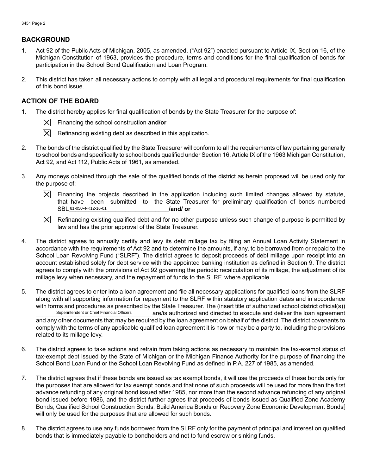#### **BAckgRound**

- 1. Act 92 of the Public Acts of Michigan, 2005, as amended, ("Act 92") enacted pursuant to Article IX, Section 16, of the Michigan Constitution of 1963, provides the procedure, terms and conditions for the final qualification of bonds for participation in the School Bond Qualification and Loan Program.
- $2.$ 2.This district has taken all necessary actions to comply with all legal and procedural requirements for final qualification of this bond issue.

#### **AcTion oF ThE BoARd**

1. The district hereby applies for final qualification of bonds by the State Treasurer for the purpose of:



- Financing the school construction **and/or**
- Refinancing existing debt as described in this application.
- $2.$ The bonds of the district qualified by the State Treasurer will conform to all the requirements of law pertaining generally to school bonds and specifically to school bonds qualified under Section 16, Article IX of the 1963 Michigan Constitution, Act 92, and Act 112, Public Acts of 1961, as amended.
- 3.Any moneys obtained through the sale of the qualified bonds of the district as herein proposed will be used only for the purpose of:
	- $|\nabla|$ Financing the projects described in the application including such limited changes allowed by statute, that have been submitted to the State Treasurer for preliminary qualification of bonds numbered SBL 81-050-4-K12-16-01 **12000 12000 12000 12000 12000 12000 12000 12000 12000 12000 12000 12000 12000 12000 120**



- $4.$ The district agrees to annually certify and levy its debt millage tax by filing an Annual Loan Activity Statement in accordance with the requirements of Act 92 and to determine the amounts, if any, to be borrowed from or repaid to the School Loan Revolving Fund ("SLRF"). The district agrees to deposit proceeds of debt millage upon receipt into an account established solely for debt service with the appointed banking institution as defined in Section 9. The district agrees to comply with the provisions of Act 92 governing the periodic recalculation of its millage, the adjustment of its millage levy when necessary, and the repayment of funds to the SLRF, where applicable. SBL 81-050-4-K12-16-01<br>  $\boxed{\times}$  Refinancing existing qualifie<br>
law and has the prior approv<br>
The district agrees to annually cert<br>
accordance with the requirements of<br>
School Loan Revolving Fund ("SLR<br>
account established
- 5.The district agrees to enter into a loan agreement and file all necessary applications for qualified loans from the SLRF along with all supporting information for repayment to the SLRF within statutory application dates and in accordance with forms and procedures as prescribed by the State Treasurer. The (insert title of authorized school district official(s))<br>superintendent or Chief Financial Officers are/is authorized and directed to execute and deliver are/is authorized and directed to execute and deliver the loan agreement and any other documents that may be required by the loan agreement on behalf of the district. The district covenants to comply with the terms of any applicable qualified loan agreement it is now or may be a party to, including the provisions related to its millage levy.
- 6. The district agrees to take actions and refrain from taking actions as necessary to maintain the tax-exempt status of tax-exempt debt issued by the State of Michigan or the Michigan Finance Authority for the purpose of financing the School Bond Loan Fund or the School Loan Revolving Fund as defined in P.A. 227 of 1985, as amended.
- 7. The district agrees that if these bonds are issued as tax exempt bonds, it will use the proceeds of these bonds only for the purposes that are allowed for tax exempt bonds and that none of such proceeds will be used for more than the first advance refunding of any original bond issued after 1985, nor more than the second advance refunding of any original bond issued before 1986, and the district further agrees that proceeds of bonds issued as Qualified Zone Academy Bonds, Qualified School Construction Bonds, Build America Bonds or Recovery Zone Economic Development Bonds[ will only be used for the purposes that are allowed for such bonds.
- 8. The district agrees to use any funds borrowed from the SLRF only for the payment of principal and interest on qualified bonds that is immediately payable to bondholders and not to fund escrow or sinking funds.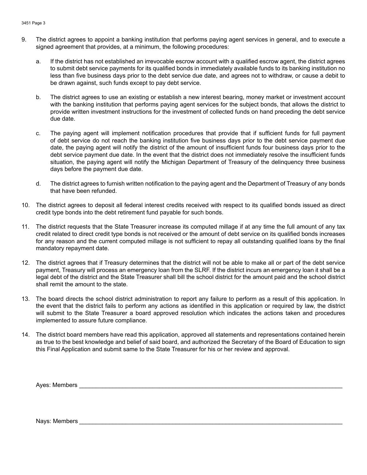- 9. The district agrees to appoint a banking institution that performs paying agent services in general, and to execute a signed agreement that provides, at a minimum, the following procedures:
	- a. If the district has not established an irrevocable escrow account with a qualified escrow agent, the district agrees to submit debt service payments for its qualified bonds in immediately available funds to its banking institution no less than five business days prior to the debt service due date, and agrees not to withdraw, or cause a debit to be drawn against, such funds except to pay debt service.
	- b. The district agrees to use an existing or establish a new interest bearing, money market or investment account with the banking institution that performs paying agent services for the subject bonds, that allows the district to provide written investment instructions for the investment of collected funds on hand preceding the debt service due date.
	- c. The paying agent will implement notification procedures that provide that if sufficient funds for full payment of debt service do not reach the banking institution five business days prior to the debt service payment due date, the paying agent will notify the district of the amount of insufficient funds four business days prior to the debt service payment due date. In the event that the district does not immediately resolve the insufficient funds situation, the paying agent will notify the Michigan Department of Treasury of the delinquency three business days before the payment due date.
	- d. The district agrees to furnish written notification to the paying agent and the Department of Treasury of any bonds that have been refunded.
- 10. The district agrees to deposit all federal interest credits received with respect to its qualified bonds issued as direct credit type bonds into the debt retirement fund payable for such bonds.
- 11. The district requests that the State Treasurer increase its computed millage if at any time the full amount of any tax credit related to direct credit type bonds is not received or the amount of debt service on its qualified bonds increases for any reason and the current computed millage is not sufficient to repay all outstanding qualified loans by the final mandatory repayment date.
- 12. The district agrees that if Treasury determines that the district will not be able to make all or part of the debt service payment, Treasury will process an emergency loan from the SLRF. If the district incurs an emergency loan it shall be a legal debt of the district and the State Treasurer shall bill the school district for the amount paid and the school district shall remit the amount to the state.
- 13. The board directs the school district administration to report any failure to perform as a result of this application. In the event that the district fails to perform any actions as identified in this application or required by law, the district will submit to the State Treasurer a board approved resolution which indicates the actions taken and procedures implemented to assure future compliance.
- 14. The district board members have read this application, approved all statements and representations contained herein as true to the best knowledge and belief of said board, and authorized the Secretary of the Board of Education to sign this Final Application and submit same to the State Treasurer for his or her review and approval.

Ayes: Members \_\_\_\_\_\_\_\_\_\_\_\_\_\_\_\_\_\_\_\_\_\_\_\_\_\_\_\_\_\_\_\_\_\_\_\_\_\_\_\_\_\_\_\_\_\_\_\_\_\_\_\_\_\_\_\_\_\_\_\_\_\_\_\_\_\_\_\_\_\_\_\_\_\_\_\_\_\_\_

Nays: Members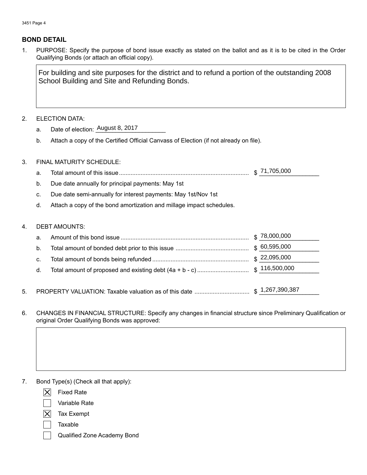#### **Bond dETAiL**

 $1.$ PURPOSE: Specify the purpose of bond issue exactly as stated on the ballot and as it is to be cited in the Order Qualifying Bonds (or attach an official copy).

School Building and Site and Refunding Bonds.

#### 2.ELECTION DATA:

- a. a. Date of election: <u>August 8, 2017</u>
- b. b.Attach a copy of the Certified Official Canvass of Election (if not already on file).
- 3. 3.FINAL MATURITY SCHEDULE:
	- $a<sub>z</sub>$ a.Total amount of this issue.............................................................................. \$ \_\_\_\_\_\_\_\_\_\_\_\_\_\_\_\_\_\_ \$71,705,000
	- $b.$ b.Due date annually for principal payments: May 1st
	- C. Due date semi-annually for interest payments: May 1st/Nov 1st
	- d. Attach a copy of the bond amortization and millage impact schedules.

#### 4.DEBT AMOUNTS:

5.

|    | <b>ELECTION DATA:</b>                                                                                                                                                                                                                                                                                                                                                                                                                                                                    |               |
|----|------------------------------------------------------------------------------------------------------------------------------------------------------------------------------------------------------------------------------------------------------------------------------------------------------------------------------------------------------------------------------------------------------------------------------------------------------------------------------------------|---------------|
| a. | Date of election: August 8, 2017                                                                                                                                                                                                                                                                                                                                                                                                                                                         |               |
| b. | Attach a copy of the Certified Official Canvass of Election (if not already on file).                                                                                                                                                                                                                                                                                                                                                                                                    |               |
|    | FINAL MATURITY SCHEDULE:                                                                                                                                                                                                                                                                                                                                                                                                                                                                 |               |
| a. |                                                                                                                                                                                                                                                                                                                                                                                                                                                                                          |               |
| b. | Due date annually for principal payments: May 1st                                                                                                                                                                                                                                                                                                                                                                                                                                        |               |
| c. | Due date semi-annually for interest payments: May 1st/Nov 1st                                                                                                                                                                                                                                                                                                                                                                                                                            |               |
| d. | Attach a copy of the bond amortization and millage impact schedules.                                                                                                                                                                                                                                                                                                                                                                                                                     |               |
|    | <b>DEBT AMOUNTS:</b>                                                                                                                                                                                                                                                                                                                                                                                                                                                                     |               |
| a. |                                                                                                                                                                                                                                                                                                                                                                                                                                                                                          | \$78,000,000  |
| b. |                                                                                                                                                                                                                                                                                                                                                                                                                                                                                          | \$60,595,000  |
| c. |                                                                                                                                                                                                                                                                                                                                                                                                                                                                                          | \$22,095,000  |
| d. | Total amount of proposed and existing debt (4a + b - c)                                                                                                                                                                                                                                                                                                                                                                                                                                  | \$116,500,000 |
|    |                                                                                                                                                                                                                                                                                                                                                                                                                                                                                          |               |
|    | CHANGES IN FINANCIAL STRUCTURE: Specify any changes in financial structure since Preliminary Qualification                                                                                                                                                                                                                                                                                                                                                                               |               |
|    | original Order Qualifying Bonds was approved:                                                                                                                                                                                                                                                                                                                                                                                                                                            |               |
|    | Bond Type(s) (Check all that apply):                                                                                                                                                                                                                                                                                                                                                                                                                                                     |               |
|    | $\boldsymbol{\mathsf{X}}$<br><b>Fixed Rate</b>                                                                                                                                                                                                                                                                                                                                                                                                                                           |               |
|    | Variable Rate                                                                                                                                                                                                                                                                                                                                                                                                                                                                            |               |
|    | $\mathsf{X}% _{T}=\mathsf{X}_{T}\!\left( a,b\right) ,\ \mathsf{Y}_{T}=\mathsf{Y}_{T}\!\left( a,b\right) ,\ \mathsf{Y}_{T}=\mathsf{Y}_{T}\!\left( a,b\right) ,\ \mathsf{Y}_{T}=\mathsf{Y}_{T}\!\left( a,b\right) ,\ \mathsf{Y}_{T}=\mathsf{Y}_{T}\!\left( a,b\right) ,\ \mathsf{Y}_{T}=\mathsf{Y}_{T}\!\left( a,b\right) ,\ \mathsf{Y}_{T}=\mathsf{Y}_{T}\!\left( a,b\right) ,\ \mathsf{Y}_{T}=\mathsf{Y}_{T}\!\left( a,b\right) ,\ \mathsf{Y}_{T}=\math$<br><b>Tax Exempt</b><br>Taxable |               |

- 7. Bond Type(s) (Check all that apply):
	- Fixed Rate
	- Variable Rate
	- Tax Exempt
	- Taxable
	-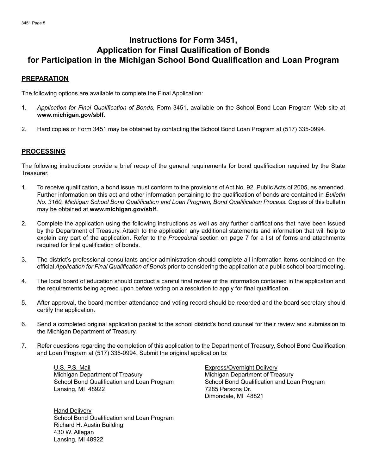# **Instructions for Form 3451, Application for Final Qualification of Bonds** for Participation in the Michigan School Bond Qualification and Loan Program

#### **PREPARATION**

The following options are available to complete the Final Application:

- 1. Application for Final Qualification of Bonds, Form 3451, available on the School Bond Loan Program Web site at **www.michigan.gov/sblf.**
- 2. Hard copies of Form 3451 may be obtained by contacting the School Bond Loan Program at (517) 335-0994.

#### **PRocESSing**

The following instructions provide a brief recap of the general requirements for bond qualification required by the State Treasurer.

- 1. To receive qualification, a bond issue must conform to the provisions of Act No. 92, Public Acts of 2005, as amended. Further information on this act and other information pertaining to the qualification of bonds are contained in *Bulletin No. 3160, Michigan School Bond Qualification and Loan Program, Bond Qualification Process*. Copies of this bulletin may be obtained at **www.michigan.gov/sblf.**
- 2. Complete the application using the following instructions as well as any further clarifications that have been issued by the Department of Treasury. Attach to the application any additional statements and information that will help to explain any part of the application. Refer to the *Procedural* section on page 7 for a list of forms and attachments required for final qualification of bonds.
- 3.The district's professional consultants and/or administration should complete all information items contained on the official *Application for Final Qualification of Bonds* prior to considering the application at a public school board meeting.
- The local board of education should conduct a careful final review of the information contained in the application and the requirements being agreed upon before voting on a resolution to apply for final qualification.
- After approval, the board member attendance and voting record should be recorded and the board secretary should certify the application.
- Send a completed original application packet to the school district's bond counsel for their review and submission to the Michigan Department of Treasury.
- Refer questions regarding the completion of this application to the Department of Treasury, School Bond Qualification and Loan Program at (517) 335-0994. Submit the original application to:

U.S. P.S. Mail **Express/Overnight Delivery** Michigan Department of Treasury Michigan Department of Treasury Lansing, MI 48922 **7285 Parsons Dr.** 

Richard H. Austin Building<br>430 W. Allegan 430 W. Allegan **Hand Delivery** School Bond Qualification and Loan Program Lansing, MI 48922

School Bond Qualification and Loan Program School Bond Qualification and Loan Program Dimondale, MI 48821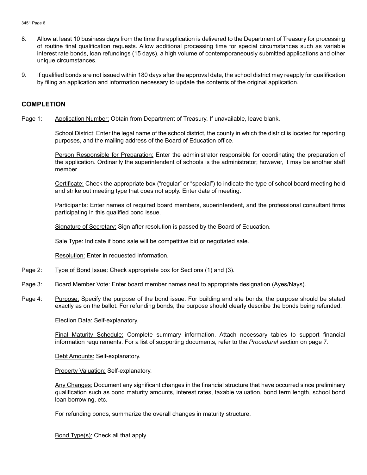- 8. Allow at least 10 business days from the time the application is delivered to the Department of Treasury for processing of routine final qualification requests. Allow additional processing time for special circumstances such as variable interest rate bonds, loan refundings (15 days), a high volume of contemporaneously submitted applications and other unique circumstances.
- 9 9. If qualified bonds are not issued within 180 days after the approval date, the school district may reapply for qualification by filing an application and information necessary to update the contents of the original application.

#### **coMPLETion**

Page 1: Application Number: Obtain from Department of Treasury. If unavailable, leave blank.

School District: Enter the legal name of the school district, the county in which the district is located for reporting purposes, and the mailing address of the Board of Education office.

Person Responsible for Preparation: Enter the administrator responsible for coordinating the preparation of the application. Ordinarily the superintendent of schools is the administrator; however, it may be another staff member.

Certificate: Check the appropriate box ("regular" or "special") to indicate the type of school board meeting held and strike out meeting type that does not apply. Enter date of meeting.

Participants: Enter names of required board members, superintendent, and the professional consultant firms participating in this qualified bond issue.

Signature of Secretary: Sign after resolution is passed by the Board of Education.<br><u>Sale Type:</u> Indicate if bond sale will be competitive bid or negotiated sale.<br><u>Resolution:</u> Enter in requested information.

Sale Type: Indicate if bond sale will be competitive bid or negotiated sale.

Resolution: Enter in requested information.

- Page 2: Type of Bond Issue: Check appropriate box for Sections (1) and (3).
- Page 3: Board Member Vote: Enter board member names next to appropriate designation (Ayes/Nays).
- Page 4: exactly as on the ballot. For refunding bonds, the purpose should clearly describe the bonds being refunded.Purpose: Specify the purpose of the bond issue. For building and site bonds, the purpose should be stated

Election Data: Self-explanatory.

information requirements. For a list of supporting documents, refer to the *Procedural* section on page 7.<br><u>Debt Amounts:</u> Self-explanatory. Final Maturity Schedule: Complete summary information. Attach necessary tables to support financial

**Property Valuation: Self-explanatory.** 

loan borrowing, etc. Any Changes: Document any significant changes in the financial structure that have occurred since preliminary qualification such as bond maturity amounts, interest rates, taxable valuation, bond term length, school bond

loan borrowing, etc.<br>For refunding bonds, summarize the overall changes in maturity structure.<br><u>Bond Type(s):</u> Check all that apply.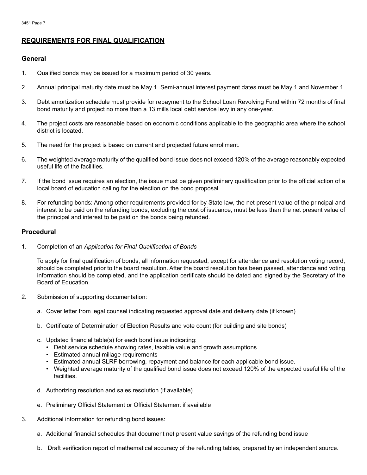#### **REQuiREMEnTS FoR FinAL QuALiFicATion**

#### **general**

- $1.$ Qualified bonds may be issued for a maximum period of 30 years.
- 2.Annual principal maturity date must be May 1. Semi-annual interest payment dates must be May 1 and November 1.
- Debt amortization schedule must provide for repayment to the School Loan Revolving Fund within 72 months of final bond maturity and project no more than a 13 mills local debt service levy in any one-year.
- The project costs are reasonable based on economic conditions applicable to the geographic area where the school district is located.
- The need for the project is based on current and projected future enrollment.
- The weighted average maturity of the qualified bond issue does not exceed 120% of the average reasonably expected useful life of the facilities.
- If the bond issue requires an election, the issue must be given preliminary qualification prior to the official action of a local board of education calling for the election on the bond proposal.
- 8. 8. For refunding bonds: Among other requirements provided for by State law, the net present value of the principal and interest to be paid on the refunding bonds, excluding the cost of issuance, must be less than the net present value of the principal and interest to be paid on the bonds being refunded.

#### **Procedural**

 $1.$ 1.Completion of an *Application for Final Qualification of Bonds* 

To apply for final qualification of bonds, all information requested, except for attendance and resolution voting record, should be completed prior to the board resolution. After the board resolution has been passed, attendance and voting information should be completed, and the application certificate should be dated and signed by the Secretary of the Board of Education.

- $2.$ Submission of supporting documentation:
	- a. Cover letter from legal counsel indicating requested approval date and delivery date (if known)
	- b. Certificate of Determination of Election Results and vote count (for building and site bonds)
	- c. Updated financial table(s) for each bond issue indicating:
		- Debt service schedule showing rates, taxable value and growth assumptions
		- Estimated annual millage requirements
		- Estimated annual SLRF borrowing, repayment and balance for each applicable bond issue.
		- Weighted average maturity of the qualified bond issue does not exceed 120% of the expected useful life of the facilities.
	- d. Authorizing resolution and sales resolution (if available)
	- e. Preliminary Official Statement or Official Statement if available
- 3. Additional information for refunding bond issues:
	- a. Additional financial schedules that document net present value savings of the refunding bond issue
	- b. Draft verification report of mathematical accuracy of the refunding tables, prepared by an independent source.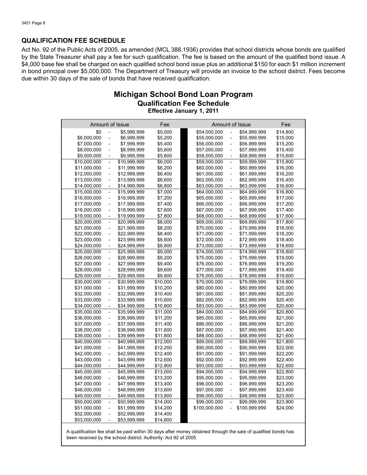#### **QuALiFicATion FEE SchEduLE**

Act No. 92 of the Public Acts of 2005, as amended (MCL 388.1936) provides that school districts whose bonds are qualified by the State Treasurer shall pay a fee for such qualification. The fee is based on the amount of the qualified bond issue. A \$4,000 base fee shall be charged on each qualified school bond issue plus an additional \$150 for each \$1 million increment in bond principal over \$5,000,000. The Department of Treasury will provide an invoice to the school district. Fees become due within 30 days of the sale of bonds that have received qualification.

#### **Michigan School Bond Loan Program<br>Qualification Fee Schedule<br>Effective January 1, 2011 Qualification Fee Schedule Effective January 1, 2011**

| Amount of Issue |                                |              | Fee      |               | Amount of Issue                                      |               | Fee      |
|-----------------|--------------------------------|--------------|----------|---------------|------------------------------------------------------|---------------|----------|
| \$0             | $\frac{1}{2}$                  | \$5,999,999  | \$5,000  | \$54,000,000  | $\overline{\phantom{a}}$                             | \$54,999,999  | \$14,800 |
| \$6,000,000     | $\overline{\phantom{m}}$       | \$6,999,999  | \$5,200  | \$55,000,000  | $\overline{\phantom{m}}$                             | \$55,999,999  | \$15,000 |
|                 |                                |              | \$5.400  | \$56,000,000  |                                                      |               |          |
| \$7,000,000     | ÷,<br>$\overline{\phantom{0}}$ | \$7,999,999  |          |               | $\overline{\phantom{a}}$<br>$\overline{\phantom{0}}$ | \$56,999,999  | \$15,200 |
| \$8,000,000     |                                | \$8,999,999  | \$5,600  | \$57,000,000  |                                                      | \$57,999,999  | \$15,400 |
| \$9,000,000     | $\overline{\phantom{a}}$       | \$9,999,999  | \$5,800  | \$58,000,000  | $\overline{\phantom{0}}$                             | \$58,999,999  | \$15,600 |
| \$10,000,000    | $\blacksquare$                 | \$10,999,999 | \$6,000  | \$59,000,000  | $\overline{\phantom{a}}$                             | \$59,999,999  | \$15,800 |
| \$11,000,000    | $\overline{\phantom{a}}$       | \$11,999,999 | \$6,200  | \$60,000,000  | $\overline{\phantom{a}}$                             | \$60,999,999  | \$16,000 |
| \$12,000,000    | $\overline{\phantom{0}}$       | \$12,999,999 | \$6,400  | \$61,000,000  | $\overline{\phantom{0}}$                             | \$61,999,999  | \$16,200 |
| \$13,000,000    | $\blacksquare$                 | \$13,999,999 | \$6,600  | \$62,000,000  | $\overline{\phantom{m}}$                             | \$62,999,999  | \$16,400 |
| \$14,000,000    | $\overline{\phantom{a}}$       | \$14,999,999 | \$6,800  | \$63,000,000  | $\overline{\phantom{a}}$                             | \$63,999,999  | \$16,600 |
| \$15,000,000    | $\overline{\phantom{a}}$       | \$15,999,999 | \$7,000  | \$64,000,000  | $\overline{\phantom{a}}$                             | \$64,999,999  | \$16,800 |
| \$16,000,000    | $\overline{\phantom{a}}$       | \$16,999,999 | \$7,200  | \$65,000,000  | $\overline{\phantom{a}}$                             | \$65,999,999  | \$17,000 |
| \$17,000,000    | $\qquad \qquad -$              | \$17,999,999 | \$7,400  | \$66,000,000  | $\overline{\phantom{a}}$                             | \$66,999,999  | \$17,200 |
| \$18,000,000    | $\overline{\phantom{a}}$       | \$18,999,999 | \$7,600  | \$67,000,000  | ÷,                                                   | \$67,999,999  | \$17,400 |
| \$19,000,000    | $\overline{\phantom{a}}$       | \$19,999,999 | \$7,800  | \$68,000,000  | $\overline{\phantom{a}}$                             | \$68,999,999  | \$17,600 |
| \$20,000,000    | $\overline{\phantom{a}}$       | \$20,999,999 | \$8,000  | \$69,000,000  | $\overline{\phantom{a}}$                             | \$69,999,999  | \$17,800 |
| \$21,000,000    | $\overline{\phantom{a}}$       | \$21,999,999 | \$8,200  | \$70,000,000  | $\overline{\phantom{0}}$                             | \$70,999,999  | \$18,000 |
| \$22,000,000    | L,                             | \$22,999,999 | \$8,400  | \$71,000,000  | $\overline{\phantom{0}}$                             | \$71,999,999  | \$18,200 |
| \$23,000,000    | $\frac{1}{2}$                  | \$23,999,999 | \$8,600  | \$72,000,000  | $\overline{a}$                                       | \$72,999,999  | \$18,400 |
| \$24,000,000    | $\overline{\phantom{a}}$       | \$24,999,999 | \$8,800  | \$73,000,000  | $\overline{\phantom{a}}$                             | \$73,999,999  | \$18,600 |
| \$25,000,000    | $\overline{\phantom{a}}$       | \$25,999,999 | \$9,000  | \$74,000,000  | $\frac{1}{2}$                                        | \$74,999,999  | \$18,800 |
| \$26,000,000    | $\overline{\phantom{a}}$       | \$26,999,999 | \$9,200  | \$75,000,000  | $\overline{\phantom{a}}$                             | \$75,999,999  | \$19,000 |
| \$27,000,000    | $\overline{\phantom{a}}$       | \$27,999,999 | \$9,400  | \$76,000,000  | $\frac{1}{2}$                                        | \$76,999,999  | \$19,200 |
| \$28,000,000    | $\qquad \qquad -$              | \$28,999,999 | \$9,600  | \$77,000,000  | $\overline{\phantom{a}}$                             | \$77,999,999  | \$19,400 |
| \$29,000,000    | $\frac{1}{2}$                  | \$29,999,999 | \$9,800  | \$78,000,000  | $\overline{\phantom{0}}$                             | \$78,999,999  | \$19,600 |
| \$30,000,000    | $\overline{\phantom{a}}$       | \$30,999,999 | \$10,000 | \$79,000,000  | $\overline{\phantom{a}}$                             | \$79,999,999  | \$19,800 |
| \$31,000,000    | $\overline{\phantom{a}}$       | \$31,999,999 | \$10,200 | \$80,000,000  | $\overline{\phantom{a}}$                             | \$80,999,999  | \$20,000 |
| \$32,000,000    | $\frac{1}{2}$                  | \$32,999,999 | \$10,400 | \$81,000,000  | $\qquad \qquad -$                                    | \$81,999,999  | \$20,200 |
| \$33,000,000    | $\overline{\phantom{0}}$       | \$33,999,999 | \$10,600 | \$82,000,000  | L,                                                   | \$82,999,999  | \$20,400 |
| \$34,000,000    | $\overline{\phantom{a}}$       | \$34,999,999 | \$10,800 | \$83,000,000  | $\overline{\phantom{a}}$                             | \$83,999,999  | \$20,600 |
| \$35,000,000    | $\overline{\phantom{a}}$       | \$35,999,999 | \$11,000 | \$84,000,000  | $\overline{\phantom{a}}$                             | \$84,999,999  | \$20,800 |
| \$36,000,000    | $\overline{\phantom{a}}$       | \$36,999,999 | \$11,200 | \$85,000,000  | $\overline{\phantom{a}}$                             | \$85,999,999  | \$21,000 |
| \$37,000,000    | ÷,                             | \$37,999,999 | \$11,400 | \$86,000,000  | $\overline{a}$                                       | \$86,999,999  | \$21,200 |
| \$38,000,000    | L,                             | \$38,999,999 | \$11,600 | \$87,000,000  | L,                                                   | \$87,999,999  | \$21,400 |
| \$39,000,000    | $\overline{\phantom{a}}$       | \$39,999,999 | \$11,800 | \$88,000,000  | $\overline{\phantom{a}}$                             | \$88,999,999  | \$21,600 |
| \$40,000,000    | $\qquad \qquad -$              | \$40,999,999 | \$12,000 | \$89,000,000  | $\overline{\phantom{a}}$                             | \$89,999,999  | \$21,800 |
| \$41,000,000    | $\qquad \qquad -$              | \$41,999,999 | \$12,200 | \$90,000,000  | $\overline{\phantom{0}}$                             | \$90,999,999  | \$22,000 |
| \$42,000,000    | $\qquad \qquad -$              | \$42,999,999 | \$12,400 | \$91,000,000  | $\frac{1}{2}$                                        | \$91,999,999  | \$22,200 |
| \$43,000,000    | $\qquad \qquad -$              | \$43,999,999 | \$12,600 | \$92,000,000  | $\overline{\phantom{a}}$                             | \$92,999,999  | \$22,400 |
| \$44,000,000    | $\overline{\phantom{a}}$       | \$44,999,999 | \$12,800 | \$93,000,000  | $\overline{\phantom{a}}$                             | \$93,999,999  | \$22,600 |
|                 |                                |              |          |               | $\overline{\phantom{0}}$                             | \$94,999,999  |          |
| \$45,000,000    | $\overline{\phantom{a}}$       | \$45,999,999 | \$13,000 | \$94,000,000  |                                                      |               | \$22,800 |
| \$46,000,000    | $\overline{\phantom{a}}$       | \$46,999,999 | \$13,200 | \$95,000,000  | $\overline{\phantom{a}}$                             | \$95,999,999  | \$23,000 |
| \$47,000,000    | $\frac{1}{2}$                  | \$47,999,999 | \$13,400 | \$96,000,000  | $\overline{\phantom{a}}$                             | \$96,999,999  | \$23,200 |
| \$48,000,000    | $\overline{\phantom{0}}$       | \$48,999,999 | \$13,600 | \$97,000,000  | L,                                                   | \$97,999,999  | \$23,400 |
| \$49,000,000    | $\overline{\phantom{a}}$       | \$49,999,999 | \$13,800 | \$98,000,000  | $\overline{\phantom{0}}$                             | \$98,999,999  | \$23,600 |
| \$50,000,000    | ÷,                             | \$50,999,999 | \$14,000 | \$99,000,000  | ÷,                                                   | \$99,999,999  | \$23,800 |
| \$51,000,000    | $\overline{\phantom{a}}$       | \$51,999,999 | \$14,200 | \$100,000,000 | $\mathbb{L}$                                         | \$100,999,999 | \$24,000 |
| \$52,000,000    | $\overline{\phantom{0}}$       | \$52,999,999 | \$14,400 |               |                                                      |               |          |
| \$53,000,000    | $\overline{a}$                 | \$53,999,999 | \$14,600 |               |                                                      |               |          |

A qualification fee shall be paid within 30 days after money obtained through the sale of qualified bonds has been received by the school district. Authority: Act 92 of 2005